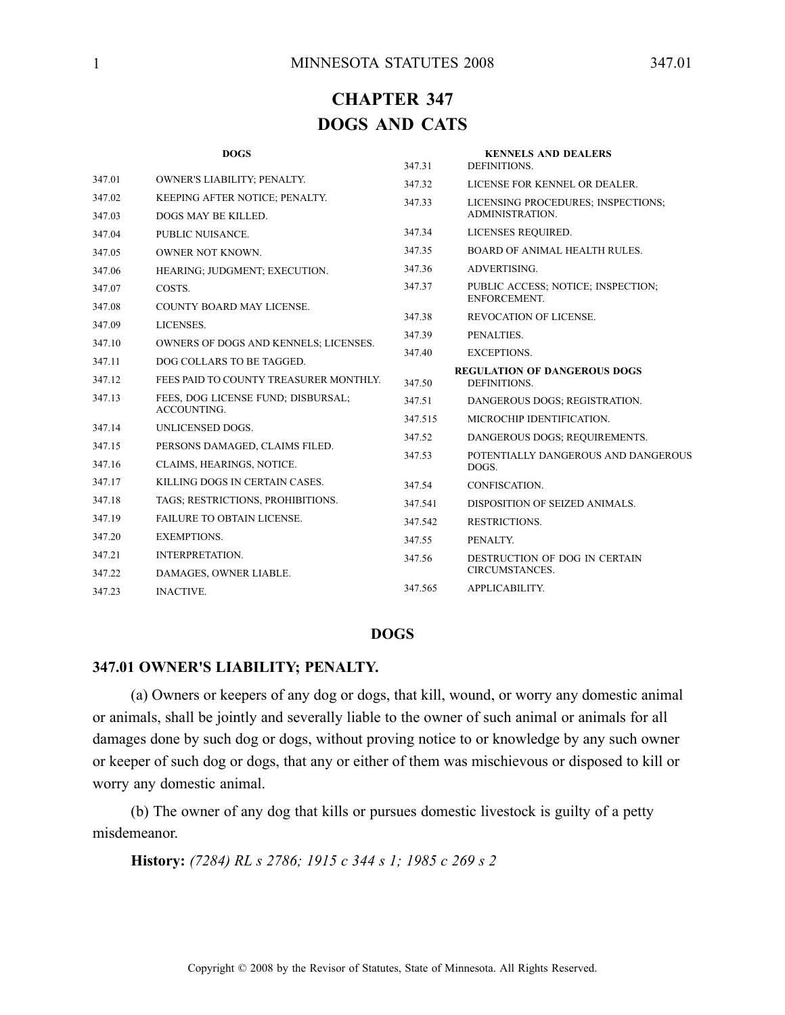# **CHAPTER 347 DOGS AND CATS**

| <b>DOGS</b>                                              | 347.31                                                                                                                                                 | <b>KENNELS AND DEALERS</b><br>DEFINITIONS.         |  |
|----------------------------------------------------------|--------------------------------------------------------------------------------------------------------------------------------------------------------|----------------------------------------------------|--|
| OWNER'S LIABILITY; PENALTY.                              | 347.32                                                                                                                                                 | LICENSE FOR KENNEL OR DEALER.                      |  |
| KEEPING AFTER NOTICE; PENALTY.                           | 347.33                                                                                                                                                 | LICENSING PROCEDURES; INSPECTIONS;                 |  |
| <b>DOGS MAY BE KILLED.</b>                               |                                                                                                                                                        | <b>ADMINISTRATION</b>                              |  |
| PUBLIC NUISANCE.                                         | 347.34                                                                                                                                                 | LICENSES REQUIRED.                                 |  |
| OWNER NOT KNOWN.                                         | 347.35                                                                                                                                                 | <b>BOARD OF ANIMAL HEALTH RULES.</b>               |  |
| HEARING; JUDGMENT; EXECUTION.                            | 347.36                                                                                                                                                 | ADVERTISING.                                       |  |
| COSTS.                                                   | 347.37                                                                                                                                                 | PUBLIC ACCESS; NOTICE; INSPECTION;<br>ENFORCEMENT. |  |
|                                                          | 347.38                                                                                                                                                 | <b>REVOCATION OF LICENSE.</b>                      |  |
|                                                          | 347.39                                                                                                                                                 | PENALTIES.                                         |  |
|                                                          | 347.40                                                                                                                                                 | <b>EXCEPTIONS.</b>                                 |  |
|                                                          |                                                                                                                                                        | <b>REGULATION OF DANGEROUS DOGS</b>                |  |
|                                                          | 347.50                                                                                                                                                 | DEFINITIONS.                                       |  |
| FEES, DOG LICENSE FUND; DISBURSAL;<br><b>ACCOUNTING.</b> | 347.51                                                                                                                                                 | DANGEROUS DOGS; REGISTRATION.                      |  |
| UNLICENSED DOGS.                                         |                                                                                                                                                        | MICROCHIP IDENTIFICATION.                          |  |
| PERSONS DAMAGED, CLAIMS FILED.                           |                                                                                                                                                        | DANGEROUS DOGS; REQUIREMENTS.                      |  |
| CLAIMS, HEARINGS, NOTICE.                                |                                                                                                                                                        | POTENTIALLY DANGEROUS AND DANGEROUS<br>DOGS.       |  |
| KILLING DOGS IN CERTAIN CASES.                           | 347.54                                                                                                                                                 | CONFISCATION.                                      |  |
| TAGS; RESTRICTIONS, PROHIBITIONS.                        | 347.541                                                                                                                                                | DISPOSITION OF SEIZED ANIMALS.                     |  |
| <b>FAILURE TO OBTAIN LICENSE.</b>                        | 347.542                                                                                                                                                | RESTRICTIONS.                                      |  |
| <b>EXEMPTIONS.</b>                                       | 347.55                                                                                                                                                 | PENALTY.                                           |  |
| <b>INTERPRETATION.</b>                                   | 347.56                                                                                                                                                 | DESTRUCTION OF DOG IN CERTAIN                      |  |
| DAMAGES, OWNER LIABLE.                                   |                                                                                                                                                        | CIRCUMSTANCES.                                     |  |
| <b>INACTIVE.</b>                                         | 347.565                                                                                                                                                | APPLICABILITY.                                     |  |
|                                                          | COUNTY BOARD MAY LICENSE.<br>LICENSES.<br>OWNERS OF DOGS AND KENNELS; LICENSES.<br>DOG COLLARS TO BE TAGGED.<br>FEES PAID TO COUNTY TREASURER MONTHLY. | 347.515<br>347.52<br>347.53                        |  |

# **DOGS**

#### **347.01 OWNER'S LIABILITY; PENALTY.**

(a) Owners or keepers of any dog or dogs, that kill, wound, or worry any domestic animal or animals, shall be jointly and severally liable to the owner of such animal or animals for all damages done by such dog or dogs, without proving notice to or knowledge by any such owner or keeper of such dog or dogs, that any or either of them was mischievous or disposed to kill or worry any domestic animal.

(b) The owner of any dog that kills or pursues domestic livestock is guilty of <sup>a</sup> petty misdemeanor.

**History:** *(7284) RL <sup>s</sup> 2786; 1915 <sup>c</sup> 344 <sup>s</sup> 1; 1985 <sup>c</sup> 269 <sup>s</sup> 2*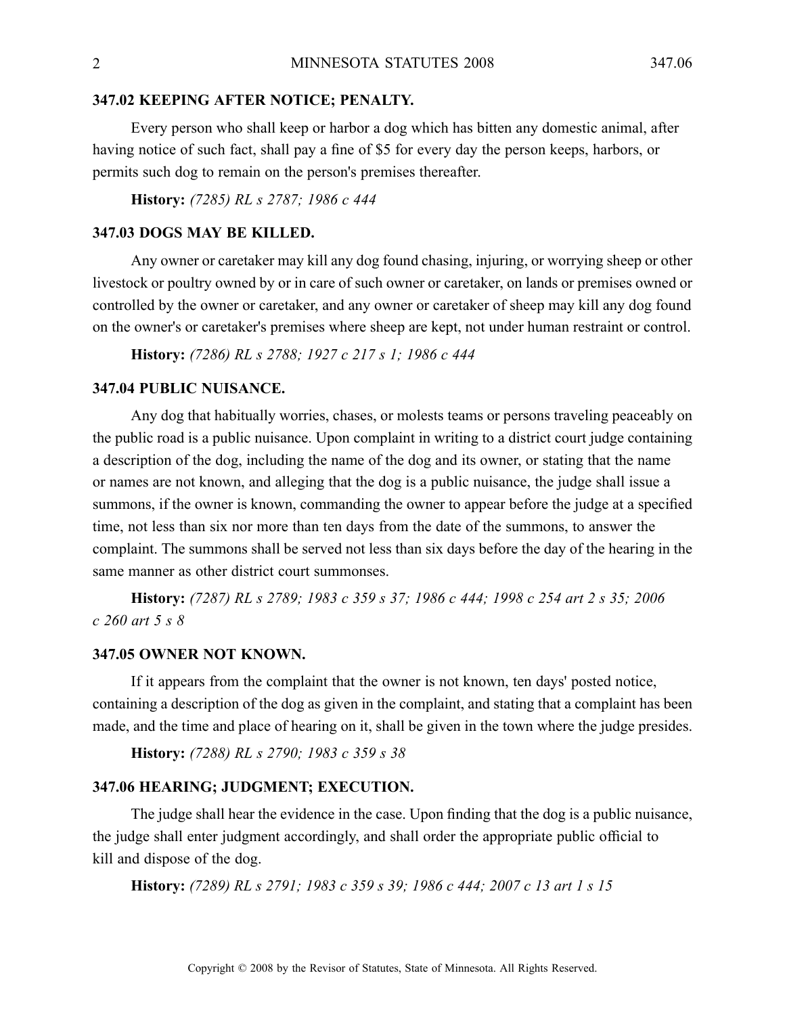#### **347.02 KEEPING AFTER NOTICE; PENALTY.**

Every person who shall keep or harbor <sup>a</sup> dog which has bitten any domestic animal, after having notice of such fact, shall pay <sup>a</sup> fine of \$5 for every day the person keeps, harbors, or permits such dog to remain on the person's premises thereafter.

**History:** *(7285) RL <sup>s</sup> 2787; 1986 <sup>c</sup> 444*

#### **347.03 DOGS MAY BE KILLED.**

Any owner or caretaker may kill any dog found chasing, injuring, or worrying sheep or other livestock or poultry owned by or in care of such owner or caretaker, on lands or premises owned or controlled by the owner or caretaker, and any owner or caretaker of sheep may kill any dog found on the owner's or caretaker's premises where sheep are kept, not under human restraint or control.

**History:** *(7286) RL <sup>s</sup> 2788; 1927 <sup>c</sup> 217 <sup>s</sup> 1; 1986 <sup>c</sup> 444*

# **347.04 PUBLIC NUISANCE.**

Any dog that habitually worries, chases, or molests teams or persons traveling peaceably on the public road is <sup>a</sup> public nuisance. Upon complaint in writing to <sup>a</sup> district court judge containing <sup>a</sup> description of the dog, including the name of the dog and its owner, or stating that the name or names are not known, and alleging that the dog is <sup>a</sup> public nuisance, the judge shall issue <sup>a</sup> summons, if the owner is known, commanding the owner to appear before the judge at <sup>a</sup> specified time, not less than six nor more than ten days from the date of the summons, to answer the complaint. The summons shall be served not less than six days before the day of the hearing in the same manner as other district court summonses.

History: (7287) RL s 2789; 1983 c 359 s 37; 1986 c 444; 1998 c 254 art 2 s 35; 2006 *<sup>c</sup> 260 art 5 <sup>s</sup> 8*

#### **347.05 OWNER NOT KNOWN.**

If it appears from the complaint that the owner is not known, ten days' posted notice, containing <sup>a</sup> description of the dog as given in the complaint, and stating that <sup>a</sup> complaint has been made, and the time and place of hearing on it, shall be given in the town where the judge presides.

**History:** *(7288) RL <sup>s</sup> 2790; 1983 <sup>c</sup> 359 <sup>s</sup> 38*

#### **347.06 HEARING; JUDGMENT; EXECUTION.**

The judge shall hear the evidence in the case. Upon finding that the dog is <sup>a</sup> public nuisance, the judge shall enter judgment accordingly, and shall order the appropriate public official to kill and dispose of the dog.

**History:** *(7289) RL <sup>s</sup> 2791; 1983 <sup>c</sup> 359 <sup>s</sup> 39; 1986 <sup>c</sup> 444; 2007 <sup>c</sup> 13 art 1 <sup>s</sup> 15*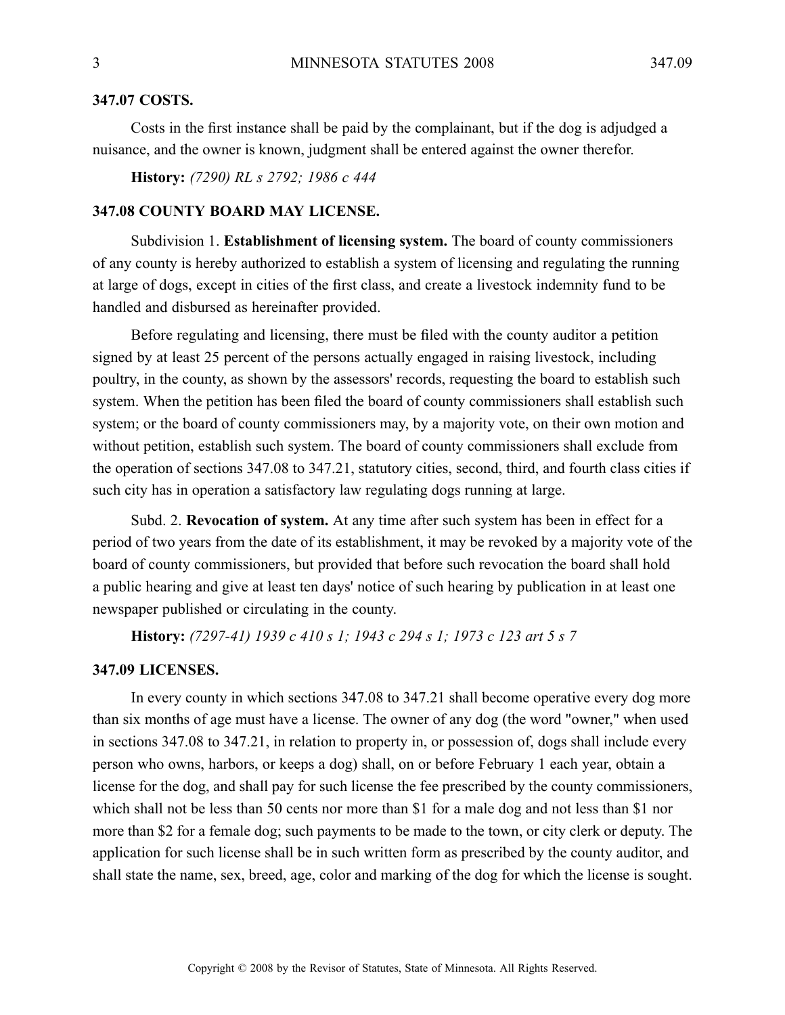# **347.07 COSTS.**

Costs in the first instance shall be paid by the complainant, but if the dog is adjudged <sup>a</sup> nuisance, and the owner is known, judgment shall be entered against the owner therefor.

**History:** *(7290) RL <sup>s</sup> 2792; 1986 <sup>c</sup> 444*

# **347.08 COUNTY BOARD MAY LICENSE.**

Subdivision 1. **Establishment of licensing system.** The board of county commissioners of any county is hereby authorized to establish <sup>a</sup> system of licensing and regulating the running at large of dogs, excep<sup>t</sup> in cities of the first class, and create <sup>a</sup> livestock indemnity fund to be handled and disbursed as hereinafter provided.

Before regulating and licensing, there must be filed with the county auditor <sup>a</sup> petition signed by at least 25 percen<sup>t</sup> of the persons actually engaged in raising livestock, including poultry, in the county, as shown by the assessors' records, requesting the board to establish such system. When the petition has been filed the board of county commissioners shall establish such system; or the board of county commissioners may, by <sup>a</sup> majority vote, on their own motion and without petition, establish such system. The board of county commissioners shall exclude from the operation of sections 347.08 to 347.21, statutory cities, second, third, and fourth class cities if such city has in operation <sup>a</sup> satisfactory law regulating dogs running at large.

Subd. 2. **Revocation of system.** At any time after such system has been in effect for <sup>a</sup> period of two years from the date of its establishment, it may be revoked by <sup>a</sup> majority vote of the board of county commissioners, but provided that before such revocation the board shall hold <sup>a</sup> public hearing and give at least ten days' notice of such hearing by publication in at least one newspaper published or circulating in the county.

**History:** *(7297-41) 1939 <sup>c</sup> 410 <sup>s</sup> 1; 1943 <sup>c</sup> 294 <sup>s</sup> 1; 1973 <sup>c</sup> 123 art 5 <sup>s</sup> 7*

#### **347.09 LICENSES.**

In every county in which sections 347.08 to 347.21 shall become operative every dog more than six months of age must have <sup>a</sup> license. The owner of any dog (the word "owner," when used in sections 347.08 to 347.21, in relation to property in, or possession of, dogs shall include every person who owns, harbors, or keeps <sup>a</sup> dog) shall, on or before February 1 each year, obtain <sup>a</sup> license for the dog, and shall pay for such license the fee prescribed by the county commissioners, which shall not be less than 50 cents nor more than \$1 for a male dog and not less than \$1 nor more than \$2 for <sup>a</sup> female dog; such payments to be made to the town, or city clerk or deputy. The application for such license shall be in such written form as prescribed by the county auditor, and shall state the name, sex, breed, age, color and marking of the dog for which the license is sought.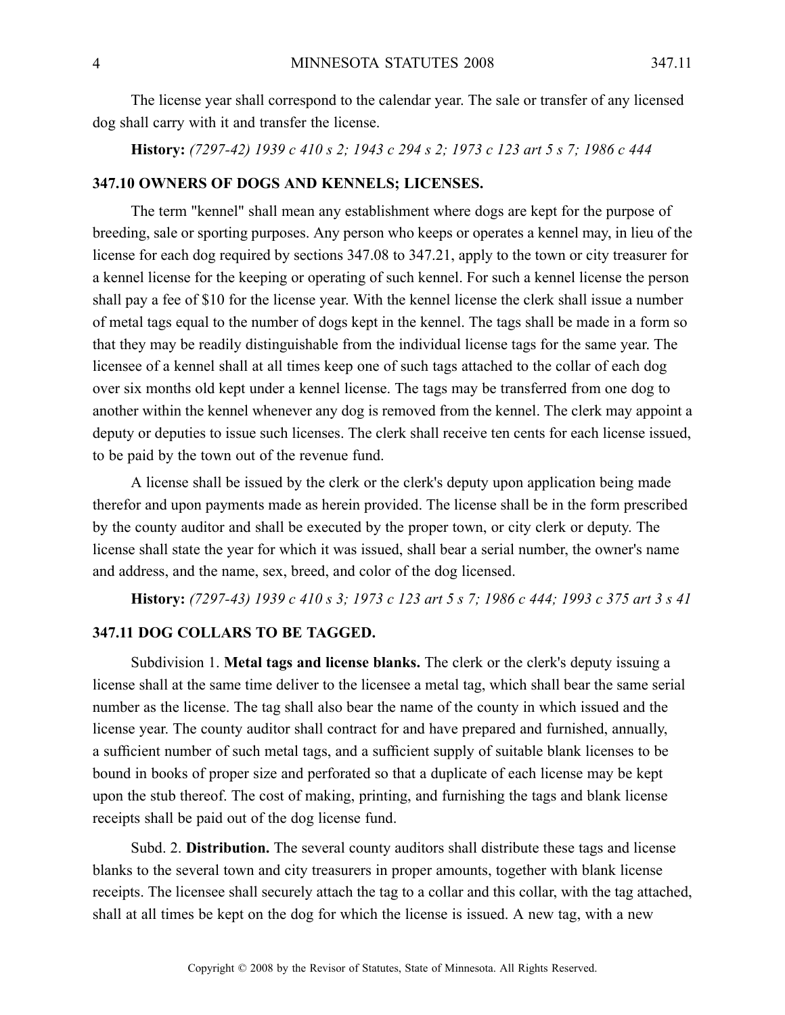The license year shall correspond to the calendar year. The sale or transfer of any licensed dog shall carry with it and transfer the license.

History: (7297-42) 1939 c 410 s 2; 1943 c 294 s 2; 1973 c 123 art 5 s 7; 1986 c 444

# **347.10 OWNERS OF DOGS AND KENNELS; LICENSES.**

The term "kennel" shall mean any establishment where dogs are kept for the purpose of breeding, sale or sporting purposes. Any person who keeps or operates <sup>a</sup> kennel may, in lieu of the license for each dog required by sections 347.08 to 347.21, apply to the town or city treasurer for <sup>a</sup> kennel license for the keeping or operating of such kennel. For such <sup>a</sup> kennel license the person shall pay <sup>a</sup> fee of \$10 for the license year. With the kennel license the clerk shall issue <sup>a</sup> number of metal tags equal to the number of dogs kept in the kennel. The tags shall be made in <sup>a</sup> form so that they may be readily distinguishable from the individual license tags for the same year. The licensee of <sup>a</sup> kennel shall at all times keep one of such tags attached to the collar of each dog over six months old kept under <sup>a</sup> kennel license. The tags may be transferred from one dog to another within the kennel whenever any dog is removed from the kennel. The clerk may appoint <sup>a</sup> deputy or deputies to issue such licenses. The clerk shall receive ten cents for each license issued, to be paid by the town out of the revenue fund.

A license shall be issued by the clerk or the clerk's deputy upon application being made therefor and upon payments made as herein provided. The license shall be in the form prescribed by the county auditor and shall be executed by the proper town, or city clerk or deputy. The license shall state the year for which it was issued, shall bear <sup>a</sup> serial number, the owner's name and address, and the name, sex, breed, and color of the dog licensed.

History: (7297-43) 1939 c 410 s 3; 1973 c 123 art 5 s 7; 1986 c 444; 1993 c 375 art 3 s 41

# **347.11 DOG COLLARS TO BE TAGGED.**

Subdivision 1. **Metal tags and license blanks.** The clerk or the clerk's deputy issuing <sup>a</sup> license shall at the same time deliver to the licensee <sup>a</sup> metal tag, which shall bear the same serial number as the license. The tag shall also bear the name of the county in which issued and the license year. The county auditor shall contract for and have prepared and furnished, annually, <sup>a</sup> sufficient number of such metal tags, and <sup>a</sup> sufficient supply of suitable blank licenses to be bound in books of proper size and perforated so that <sup>a</sup> duplicate of each license may be kept upon the stub thereof. The cost of making, printing, and furnishing the tags and blank license receipts shall be paid out of the dog license fund.

Subd. 2. **Distribution.** The several county auditors shall distribute these tags and license blanks to the several town and city treasurers in proper amounts, together with blank license receipts. The licensee shall securely attach the tag to <sup>a</sup> collar and this collar, with the tag attached, shall at all times be kept on the dog for which the license is issued. A new tag, with <sup>a</sup> new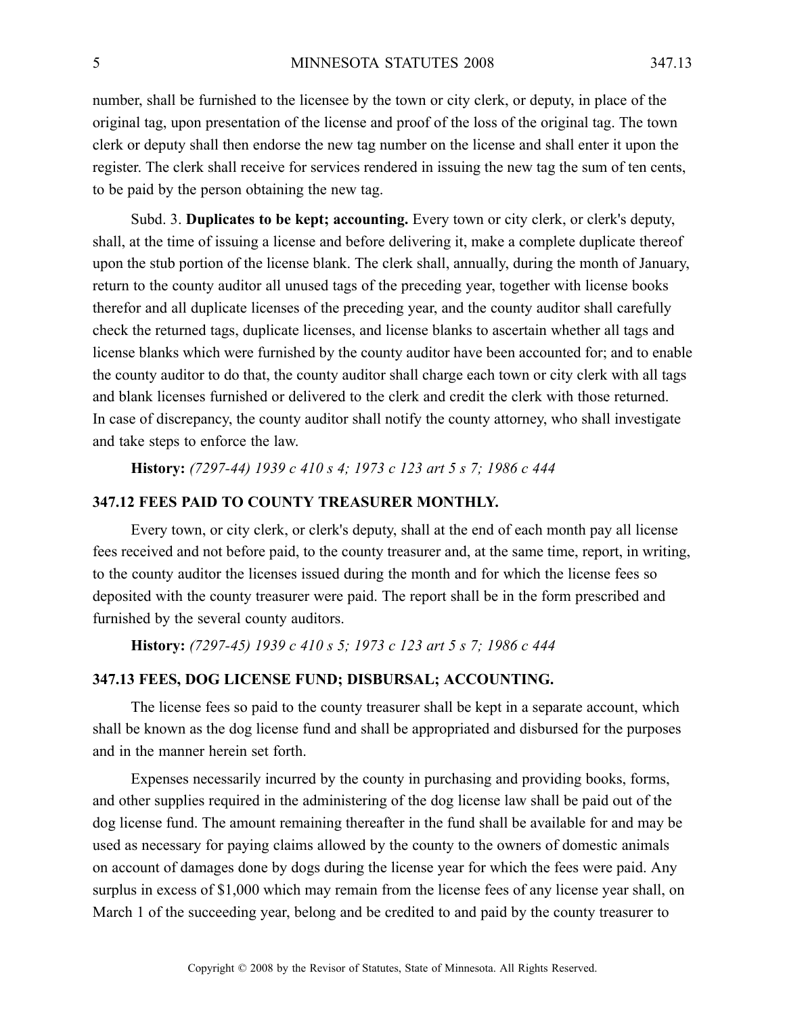number, shall be furnished to the licensee by the town or city clerk, or deputy, in place of the original tag, upon presentation of the license and proof of the loss of the original tag. The town clerk or deputy shall then endorse the new tag number on the license and shall enter it upon the register. The clerk shall receive for services rendered in issuing the new tag the sum of ten cents, to be paid by the person obtaining the new tag.

Subd. 3. **Duplicates to be kept; accounting.** Every town or city clerk, or clerk's deputy, shall, at the time of issuing <sup>a</sup> license and before delivering it, make <sup>a</sup> complete duplicate thereof upon the stub portion of the license blank. The clerk shall, annually, during the month of January, return to the county auditor all unused tags of the preceding year, together with license books therefor and all duplicate licenses of the preceding year, and the county auditor shall carefully check the returned tags, duplicate licenses, and license blanks to ascertain whether all tags and license blanks which were furnished by the county auditor have been accounted for; and to enable the county auditor to do that, the county auditor shall charge each town or city clerk with all tags and blank licenses furnished or delivered to the clerk and credit the clerk with those returned. In case of discrepancy, the county auditor shall notify the county attorney, who shall investigate and take steps to enforce the law.

**History:** *(7297-44) 1939 <sup>c</sup> 410 <sup>s</sup> 4; 1973 <sup>c</sup> 123 art 5 <sup>s</sup> 7; 1986 <sup>c</sup> 444*

# **347.12 FEES PAID TO COUNTY TREASURER MONTHLY.**

Every town, or city clerk, or clerk's deputy, shall at the end of each month pay all license fees received and not before paid, to the county treasurer and, at the same time, report, in writing, to the county auditor the licenses issued during the month and for which the license fees so deposited with the county treasurer were paid. The repor<sup>t</sup> shall be in the form prescribed and furnished by the several county auditors.

**History:** *(7297-45) 1939 <sup>c</sup> 410 <sup>s</sup> 5; 1973 <sup>c</sup> 123 art 5 <sup>s</sup> 7; 1986 <sup>c</sup> 444*

#### **347.13 FEES, DOG LICENSE FUND; DISBURSAL; ACCOUNTING.**

The license fees so paid to the county treasurer shall be kept in <sup>a</sup> separate account, which shall be known as the dog license fund and shall be appropriated and disbursed for the purposes and in the manner herein set forth.

Expenses necessarily incurred by the county in purchasing and providing books, forms, and other supplies required in the administering of the dog license law shall be paid out of the dog license fund. The amount remaining thereafter in the fund shall be available for and may be used as necessary for paying claims allowed by the county to the owners of domestic animals on account of damages done by dogs during the license year for which the fees were paid. Any surplus in excess of \$1,000 which may remain from the license fees of any license year shall, on March 1 of the succeeding year, belong and be credited to and paid by the county treasurer to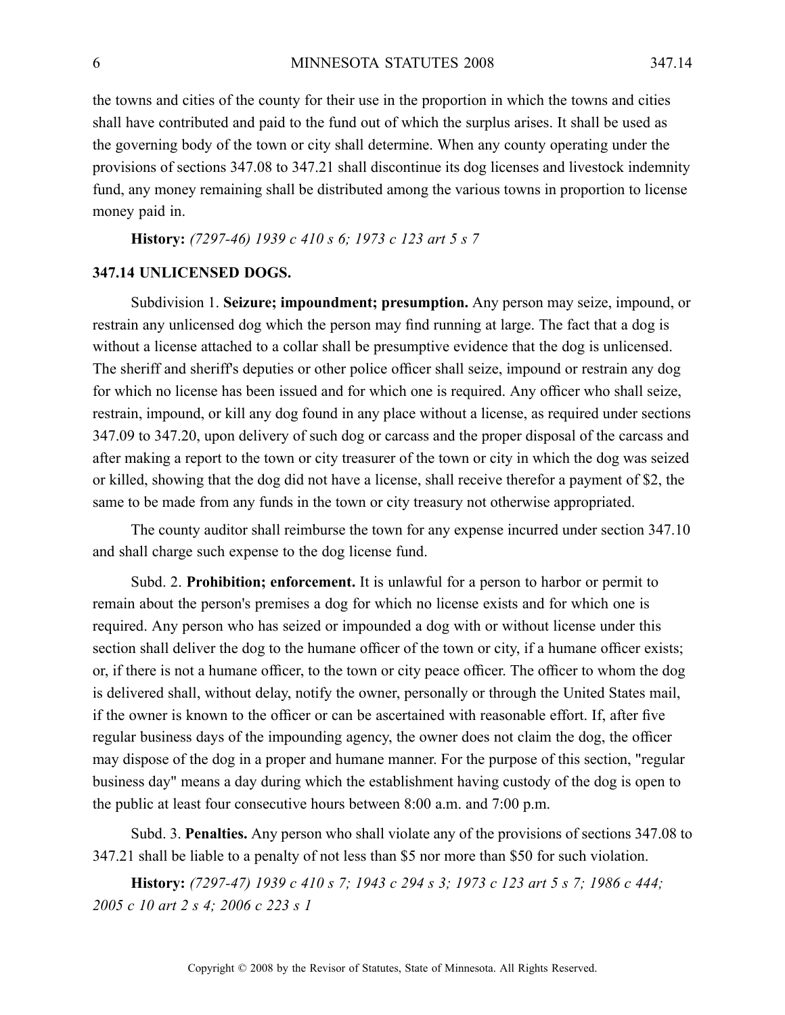the towns and cities of the county for their use in the proportion in which the towns and cities shall have contributed and paid to the fund out of which the surplus arises. It shall be used as the governing body of the town or city shall determine. When any county operating under the provisions of sections 347.08 to 347.21 shall discontinue its dog licenses and livestock indemnity fund, any money remaining shall be distributed among the various towns in proportion to license money paid in.

**History:** *(7297-46) 1939 <sup>c</sup> 410 <sup>s</sup> 6; 1973 <sup>c</sup> 123 art 5 <sup>s</sup> 7*

#### **347.14 UNLICENSED DOGS.**

Subdivision 1. **Seizure; impoundment; presumption.** Any person may seize, impound, or restrain any unlicensed dog which the person may find running at large. The fact that <sup>a</sup> dog is without <sup>a</sup> license attached to <sup>a</sup> collar shall be presumptive evidence that the dog is unlicensed. The sheriff and sheriff's deputies or other police officer shall seize, impound or restrain any dog for which no license has been issued and for which one is required. Any officer who shall seize, restrain, impound, or kill any dog found in any place without <sup>a</sup> license, as required under sections 347.09 to 347.20, upon delivery of such dog or carcass and the proper disposal of the carcass and after making <sup>a</sup> repor<sup>t</sup> to the town or city treasurer of the town or city in which the dog was seized or killed, showing that the dog did not have <sup>a</sup> license, shall receive therefor <sup>a</sup> paymen<sup>t</sup> of \$2, the same to be made from any funds in the town or city treasury not otherwise appropriated.

The county auditor shall reimburse the town for any expense incurred under section 347.10 and shall charge such expense to the dog license fund.

Subd. 2. **Prohibition; enforcement.** It is unlawful for <sup>a</sup> person to harbor or permit to remain about the person's premises <sup>a</sup> dog for which no license exists and for which one is required. Any person who has seized or impounded <sup>a</sup> dog with or without license under this section shall deliver the dog to the humane officer of the town or city, if <sup>a</sup> humane officer exists; or, if there is not <sup>a</sup> humane officer, to the town or city peace officer. The officer to whom the dog is delivered shall, without delay, notify the owner, personally or through the United States mail, if the owner is known to the officer or can be ascertained with reasonable effort. If, after five regular business days of the impounding agency, the owner does not claim the dog, the officer may dispose of the dog in <sup>a</sup> proper and humane manner. For the purpose of this section, "regular business day" means <sup>a</sup> day during which the establishment having custody of the dog is open to the public at least four consecutive hours between 8:00 a.m. and 7:00 p.m.

Subd. 3. **Penalties.** Any person who shall violate any of the provisions of sections 347.08 to 347.21 shall be liable to <sup>a</sup> penalty of not less than \$5 nor more than \$50 for such violation.

History: (7297-47) 1939 c 410 s 7; 1943 c 294 s 3; 1973 c 123 art 5 s 7; 1986 c 444; *2005 <sup>c</sup> 10 art 2 <sup>s</sup> 4; 2006 <sup>c</sup> 223 <sup>s</sup> 1*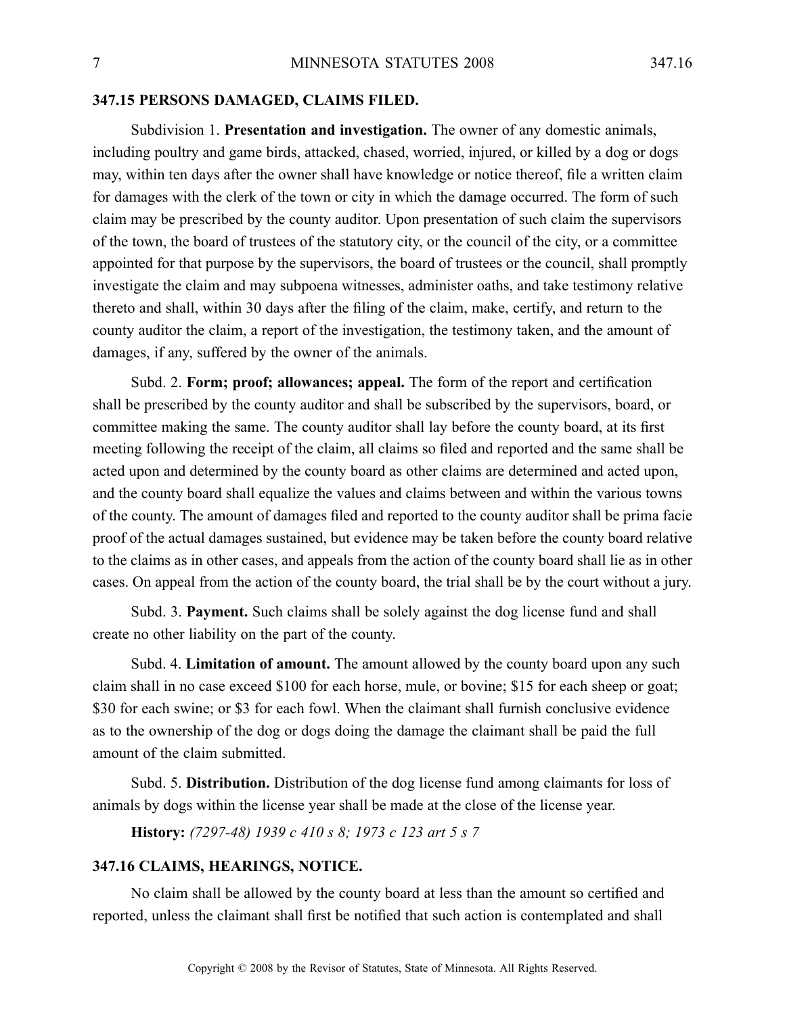#### **347.15 PERSONS DAMAGED, CLAIMS FILED.**

Subdivision 1. **Presentation and investigation.** The owner of any domestic animals, including poultry and game birds, attacked, chased, worried, injured, or killed by <sup>a</sup> dog or dogs may, within ten days after the owner shall have knowledge or notice thereof, file <sup>a</sup> written claim for damages with the clerk of the town or city in which the damage occurred. The form of such claim may be prescribed by the county auditor. Upon presentation of such claim the supervisors of the town, the board of trustees of the statutory city, or the council of the city, or <sup>a</sup> committee appointed for that purpose by the supervisors, the board of trustees or the council, shall promptly investigate the claim and may subpoena witnesses, administer oaths, and take testimony relative thereto and shall, within 30 days after the filing of the claim, make, certify, and return to the county auditor the claim, <sup>a</sup> repor<sup>t</sup> of the investigation, the testimony taken, and the amount of damages, if any, suffered by the owner of the animals.

Subd. 2. **Form; proof; allowances; appeal.** The form of the repor<sup>t</sup> and certification shall be prescribed by the county auditor and shall be subscribed by the supervisors, board, or committee making the same. The county auditor shall lay before the county board, at its first meeting following the receipt of the claim, all claims so filed and reported and the same shall be acted upon and determined by the county board as other claims are determined and acted upon, and the county board shall equalize the values and claims between and within the various towns of the county. The amount of damages filed and reported to the county auditor shall be prima facie proof of the actual damages sustained, but evidence may be taken before the county board relative to the claims as in other cases, and appeals from the action of the county board shall lie as in other cases. On appeal from the action of the county board, the trial shall be by the court without <sup>a</sup> jury.

Subd. 3. **Payment.** Such claims shall be solely against the dog license fund and shall create no other liability on the par<sup>t</sup> of the county.

Subd. 4. **Limitation of amount.** The amount allowed by the county board upon any such claim shall in no case exceed \$100 for each horse, mule, or bovine; \$15 for each sheep or goat; \$30 for each swine; or \$3 for each fowl. When the claimant shall furnish conclusive evidence as to the ownership of the dog or dogs doing the damage the claimant shall be paid the full amount of the claim submitted.

Subd. 5. **Distribution.** Distribution of the dog license fund among claimants for loss of animals by dogs within the license year shall be made at the close of the license year.

**History:** *(7297-48) 1939 <sup>c</sup> 410 <sup>s</sup> 8; 1973 <sup>c</sup> 123 art 5 <sup>s</sup> 7*

# **347.16 CLAIMS, HEARINGS, NOTICE.**

No claim shall be allowed by the county board at less than the amount so certified and reported, unless the claimant shall first be notified that such action is contemplated and shall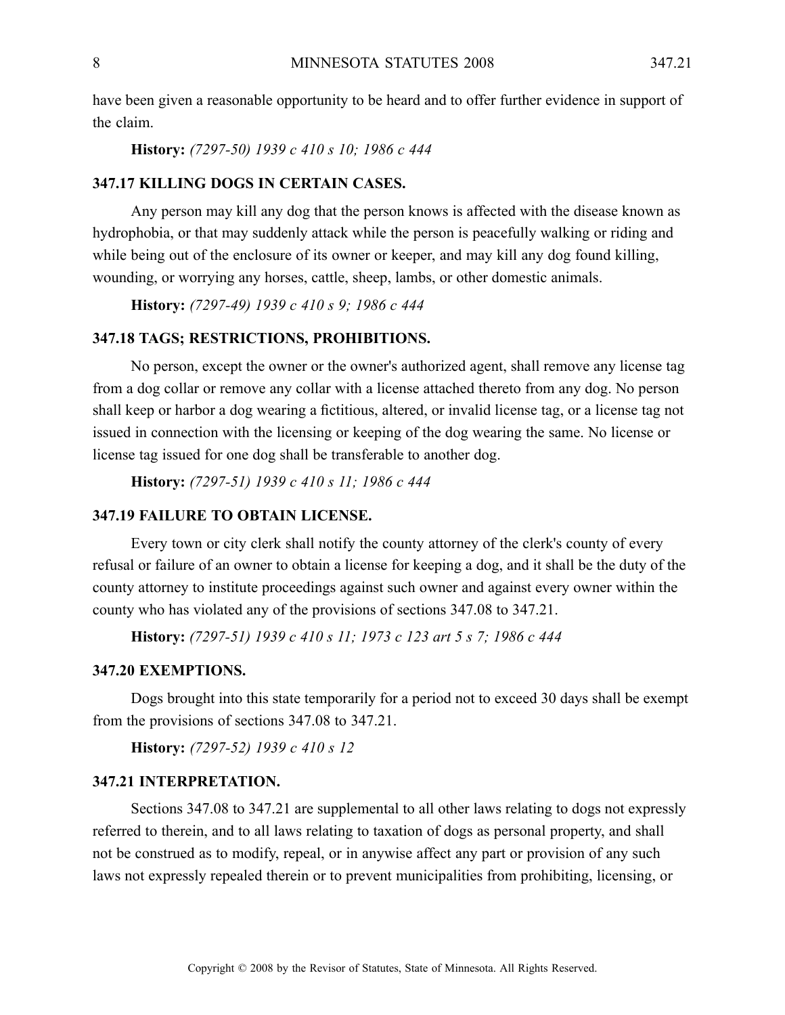have been given <sup>a</sup> reasonable opportunity to be heard and to offer further evidence in suppor<sup>t</sup> of the claim.

**History:** *(7297-50) 1939 <sup>c</sup> 410 <sup>s</sup> 10; 1986 <sup>c</sup> 444*

# **347.17 KILLING DOGS IN CERTAIN CASES.**

Any person may kill any dog that the person knows is affected with the disease known as hydrophobia, or that may suddenly attack while the person is peacefully walking or riding and while being out of the enclosure of its owner or keeper, and may kill any dog found killing, wounding, or worrying any horses, cattle, sheep, lambs, or other domestic animals.

**History:** *(7297-49) 1939 <sup>c</sup> 410 <sup>s</sup> 9; 1986 <sup>c</sup> 444*

#### **347.18 TAGS; RESTRICTIONS, PROHIBITIONS.**

No person, excep<sup>t</sup> the owner or the owner's authorized agent, shall remove any license tag from <sup>a</sup> dog collar or remove any collar with <sup>a</sup> license attached thereto from any dog. No person shall keep or harbor <sup>a</sup> dog wearing <sup>a</sup> fictitious, altered, or invalid license tag, or <sup>a</sup> license tag not issued in connection with the licensing or keeping of the dog wearing the same. No license or license tag issued for one dog shall be transferable to another dog.

**History:** *(7297-51) 1939 <sup>c</sup> 410 <sup>s</sup> 11; 1986 <sup>c</sup> 444*

# **347.19 FAILURE TO OBTAIN LICENSE.**

Every town or city clerk shall notify the county attorney of the clerk's county of every refusal or failure of an owner to obtain <sup>a</sup> license for keeping <sup>a</sup> dog, and it shall be the duty of the county attorney to institute proceedings against such owner and against every owner within the county who has violated any of the provisions of sections 347.08 to 347.21.

**History:** *(7297-51) 1939 <sup>c</sup> 410 <sup>s</sup> 11; 1973 <sup>c</sup> 123 art 5 <sup>s</sup> 7; 1986 <sup>c</sup> 444*

#### **347.20 EXEMPTIONS.**

Dogs brought into this state temporarily for <sup>a</sup> period not to exceed 30 days shall be exemp<sup>t</sup> from the provisions of sections 347.08 to 347.21.

**History:** *(7297-52) 1939 <sup>c</sup> 410 <sup>s</sup> 12*

# **347.21 INTERPRETATION.**

Sections 347.08 to 347.21 are supplemental to all other laws relating to dogs not expressly referred to therein, and to all laws relating to taxation of dogs as personal property, and shall not be construed as to modify, repeal, or in anywise affect any par<sup>t</sup> or provision of any such laws not expressly repealed therein or to preven<sup>t</sup> municipalities from prohibiting, licensing, or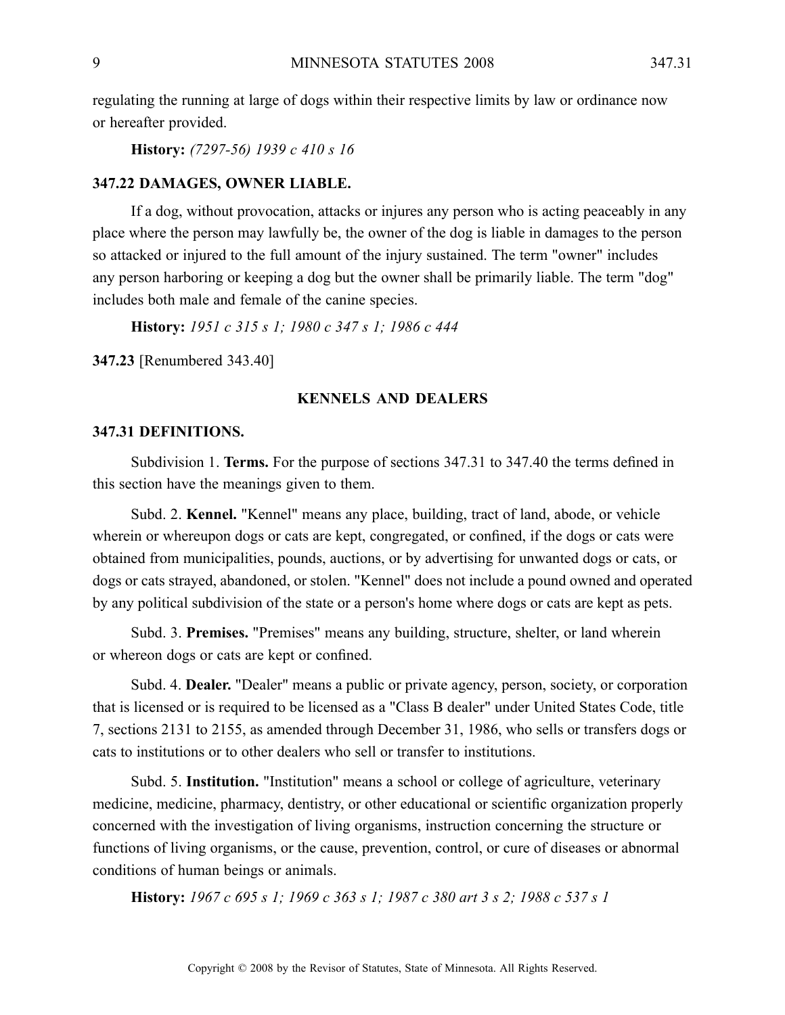regulating the running at large of dogs within their respective limits by law or ordinance now or hereafter provided.

**History:** *(7297-56) 1939 <sup>c</sup> 410 <sup>s</sup> 16*

#### **347.22 DAMAGES, OWNER LIABLE.**

If <sup>a</sup> dog, without provocation, attacks or injures any person who is acting peaceably in any place where the person may lawfully be, the owner of the dog is liable in damages to the person so attacked or injured to the full amount of the injury sustained. The term "owner" includes any person harboring or keeping <sup>a</sup> dog but the owner shall be primarily liable. The term "dog" includes both male and female of the canine species.

**History:** *1951 <sup>c</sup> 315 <sup>s</sup> 1; 1980 <sup>c</sup> 347 <sup>s</sup> 1; 1986 <sup>c</sup> 444*

**347.23** [Renumbered 343.40]

#### **KENNELS AND DEALERS**

#### **347.31 DEFINITIONS.**

Subdivision 1. **Terms.** For the purpose of sections 347.31 to 347.40 the terms defined in this section have the meanings given to them.

Subd. 2. **Kennel.** "Kennel" means any place, building, tract of land, abode, or vehicle wherein or whereupon dogs or cats are kept, congregated, or confined, if the dogs or cats were obtained from municipalities, pounds, auctions, or by advertising for unwanted dogs or cats, or dogs or cats strayed, abandoned, or stolen. "Kennel" does not include <sup>a</sup> pound owned and operated by any political subdivision of the state or <sup>a</sup> person's home where dogs or cats are kept as pets.

Subd. 3. **Premises.** "Premises" means any building, structure, shelter, or land wherein or whereon dogs or cats are kept or confined.

Subd. 4. **Dealer.** "Dealer" means <sup>a</sup> public or private agency, person, society, or corporation that is licensed or is required to be licensed as <sup>a</sup> "Class B dealer" under United States Code, title 7, sections 2131 to 2155, as amended through December 31, 1986, who sells or transfers dogs or cats to institutions or to other dealers who sell or transfer to institutions.

Subd. 5. **Institution.** "Institution" means <sup>a</sup> school or college of agriculture, veterinary medicine, medicine, pharmacy, dentistry, or other educational or scientific organization properly concerned with the investigation of living organisms, instruction concerning the structure or functions of living organisms, or the cause, prevention, control, or cure of diseases or abnormal conditions of human beings or animals.

History: 1967 c 695 s 1; 1969 c 363 s 1; 1987 c 380 art 3 s 2; 1988 c 537 s 1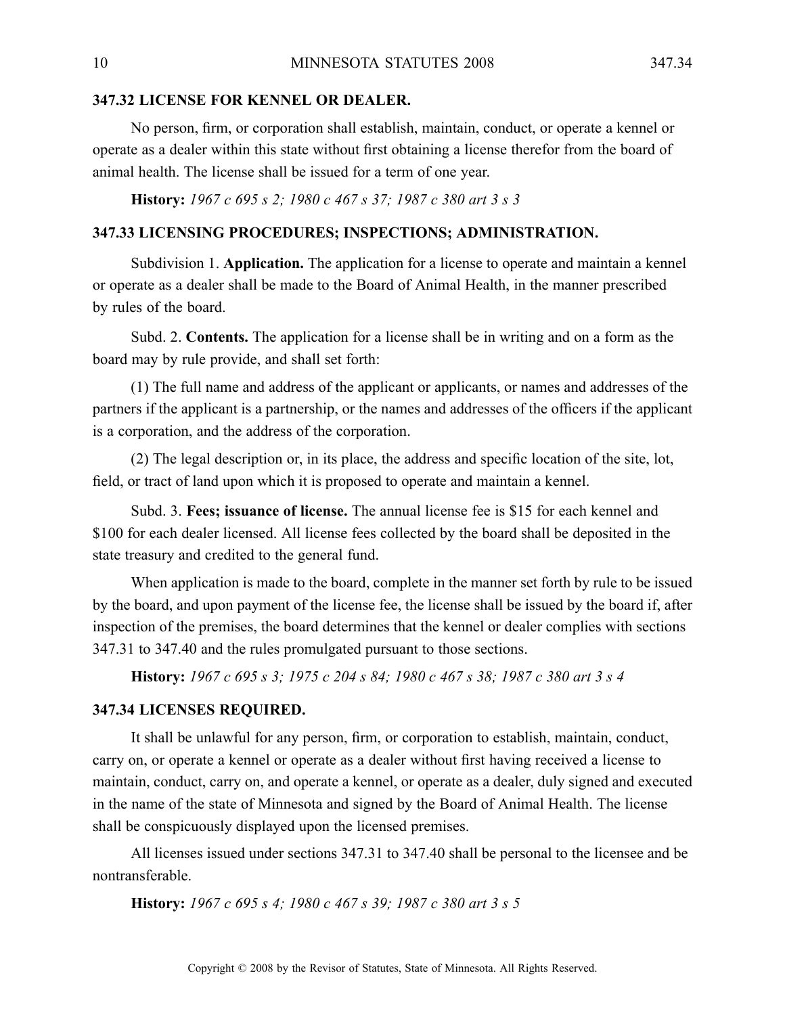# **347.32 LICENSE FOR KENNEL OR DEALER.**

No person, firm, or corporation shall establish, maintain, conduct, or operate <sup>a</sup> kennel or operate as <sup>a</sup> dealer within this state without first obtaining <sup>a</sup> license therefor from the board of animal health. The license shall be issued for <sup>a</sup> term of one year.

**History:** *1967 <sup>c</sup> 695 <sup>s</sup> 2; 1980 <sup>c</sup> 467 <sup>s</sup> 37; 1987 <sup>c</sup> 380 art 3 <sup>s</sup> 3*

# **347.33 LICENSING PROCEDURES; INSPECTIONS; ADMINISTRATION.**

Subdivision 1. **Application.** The application for <sup>a</sup> license to operate and maintain <sup>a</sup> kennel or operate as <sup>a</sup> dealer shall be made to the Board of Animal Health, in the manner prescribed by rules of the board.

Subd. 2. **Contents.** The application for <sup>a</sup> license shall be in writing and on <sup>a</sup> form as the board may by rule provide, and shall set forth:

(1) The full name and address of the applicant or applicants, or names and addresses of the partners if the applicant is <sup>a</sup> partnership, or the names and addresses of the officers if the applicant is <sup>a</sup> corporation, and the address of the corporation.

(2) The legal description or, in its place, the address and specific location of the site, lot, field, or tract of land upon which it is proposed to operate and maintain <sup>a</sup> kennel.

Subd. 3. **Fees; issuance of license.** The annual license fee is \$15 for each kennel and \$100 for each dealer licensed. All license fees collected by the board shall be deposited in the state treasury and credited to the general fund.

When application is made to the board, complete in the manner set forth by rule to be issued by the board, and upon paymen<sup>t</sup> of the license fee, the license shall be issued by the board if, after inspection of the premises, the board determines that the kennel or dealer complies with sections 347.31 to 347.40 and the rules promulgated pursuan<sup>t</sup> to those sections.

History: 1967 c 695 s 3; 1975 c 204 s 84; 1980 c 467 s 38; 1987 c 380 art 3 s 4

#### **347.34 LICENSES REQUIRED.**

It shall be unlawful for any person, firm, or corporation to establish, maintain, conduct, carry on, or operate <sup>a</sup> kennel or operate as <sup>a</sup> dealer without first having received <sup>a</sup> license to maintain, conduct, carry on, and operate <sup>a</sup> kennel, or operate as <sup>a</sup> dealer, duly signed and executed in the name of the state of Minnesota and signed by the Board of Animal Health. The license shall be conspicuously displayed upon the licensed premises.

All licenses issued under sections 347.31 to 347.40 shall be personal to the licensee and be nontransferable.

**History:** *1967 <sup>c</sup> 695 <sup>s</sup> 4; 1980 <sup>c</sup> 467 <sup>s</sup> 39; 1987 <sup>c</sup> 380 art 3 <sup>s</sup> 5*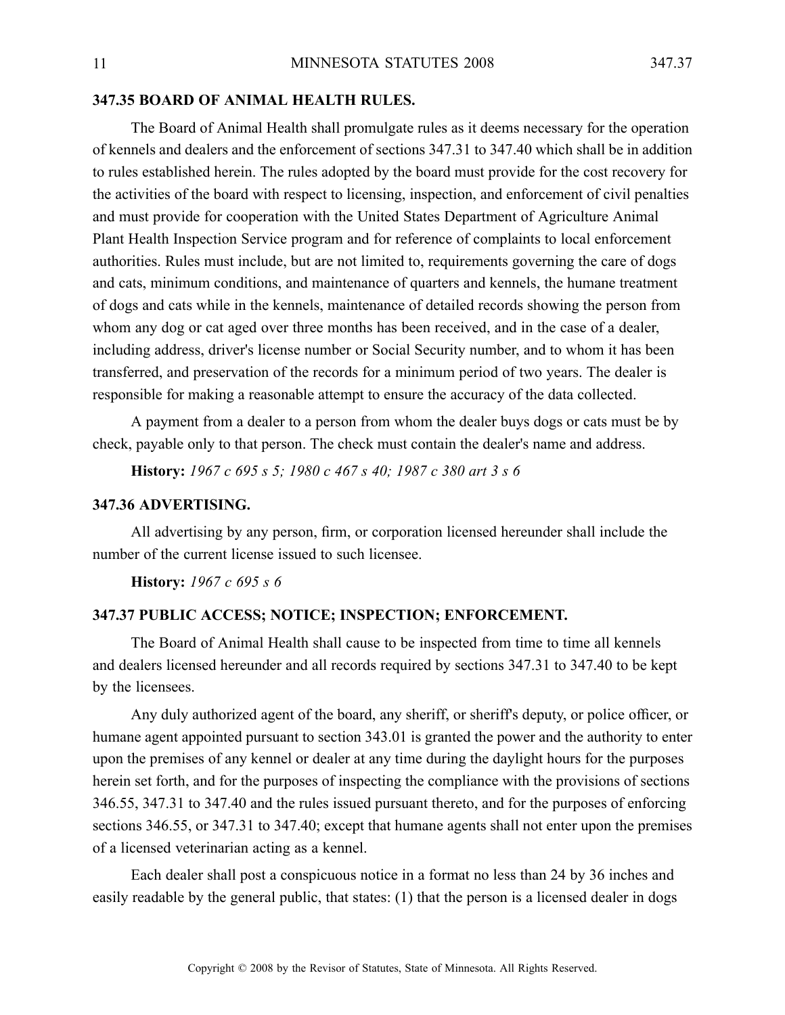# **347.35 BOARD OF ANIMAL HEALTH RULES.**

The Board of Animal Health shall promulgate rules as it deems necessary for the operation of kennels and dealers and the enforcement of sections 347.31 to 347.40 which shall be in addition to rules established herein. The rules adopted by the board must provide for the cost recovery for the activities of the board with respec<sup>t</sup> to licensing, inspection, and enforcement of civil penalties and must provide for cooperation with the United States Department of Agriculture Animal Plant Health Inspection Service program and for reference of complaints to local enforcement authorities. Rules must include, but are not limited to, requirements governing the care of dogs and cats, minimum conditions, and maintenance of quarters and kennels, the humane treatment of dogs and cats while in the kennels, maintenance of detailed records showing the person from whom any dog or cat aged over three months has been received, and in the case of <sup>a</sup> dealer, including address, driver's license number or Social Security number, and to whom it has been transferred, and preservation of the records for <sup>a</sup> minimum period of two years. The dealer is responsible for making <sup>a</sup> reasonable attempt to ensure the accuracy of the data collected.

A paymen<sup>t</sup> from <sup>a</sup> dealer to <sup>a</sup> person from whom the dealer buys dogs or cats must be by check, payable only to that person. The check must contain the dealer's name and address.

**History:** *1967 <sup>c</sup> 695 <sup>s</sup> 5; 1980 <sup>c</sup> 467 <sup>s</sup> 40; 1987 <sup>c</sup> 380 art 3 <sup>s</sup> 6*

# **347.36 ADVERTISING.**

All advertising by any person, firm, or corporation licensed hereunder shall include the number of the current license issued to such licensee.

**History:** *1967 <sup>c</sup> 695 <sup>s</sup> 6*

#### **347.37 PUBLIC ACCESS; NOTICE; INSPECTION; ENFORCEMENT.**

The Board of Animal Health shall cause to be inspected from time to time all kennels and dealers licensed hereunder and all records required by sections 347.31 to 347.40 to be kept by the licensees.

Any duly authorized agen<sup>t</sup> of the board, any sheriff, or sheriff's deputy, or police officer, or humane agen<sup>t</sup> appointed pursuan<sup>t</sup> to section 343.01 is granted the power and the authority to enter upon the premises of any kennel or dealer at any time during the daylight hours for the purposes herein set forth, and for the purposes of inspecting the compliance with the provisions of sections 346.55, 347.31 to 347.40 and the rules issued pursuan<sup>t</sup> thereto, and for the purposes of enforcing sections 346.55, or 347.31 to 347.40; excep<sup>t</sup> that humane agents shall not enter upon the premises of <sup>a</sup> licensed veterinarian acting as <sup>a</sup> kennel.

Each dealer shall pos<sup>t</sup> <sup>a</sup> conspicuous notice in <sup>a</sup> format no less than 24 by 36 inches and easily readable by the general public, that states: (1) that the person is <sup>a</sup> licensed dealer in dogs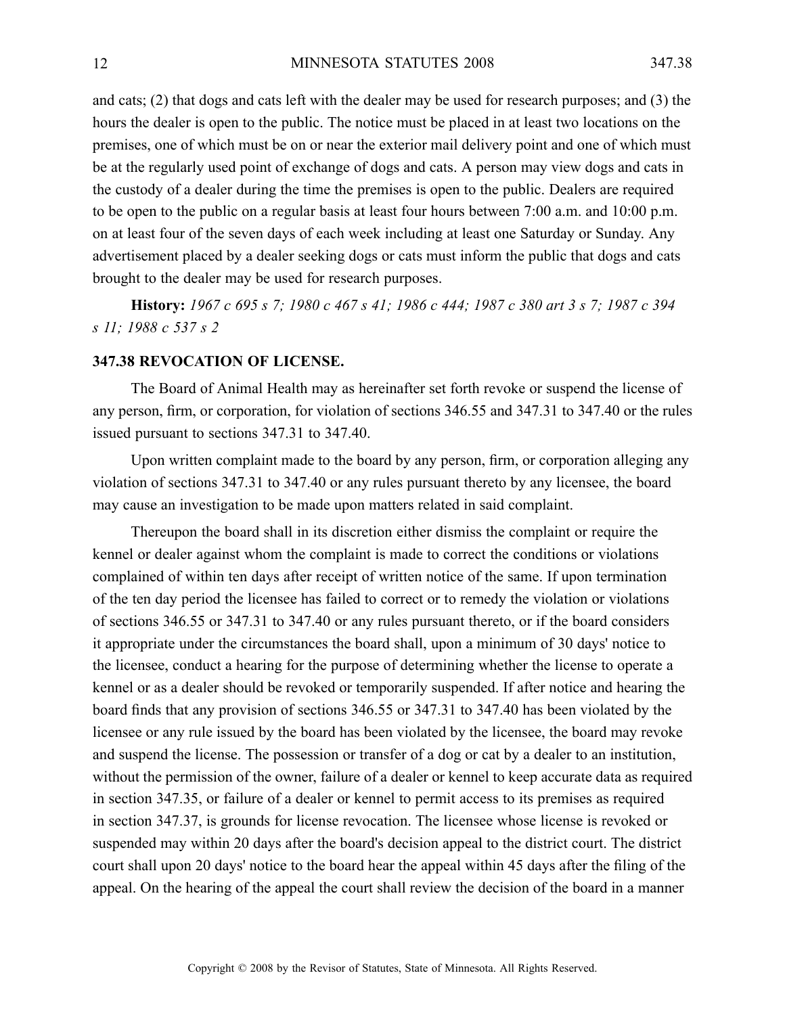and cats; (2) that dogs and cats left with the dealer may be used for research purposes; and (3) the hours the dealer is open to the public. The notice must be placed in at least two locations on the premises, one of which must be on or near the exterior mail delivery point and one of which must be at the regularly used point of exchange of dogs and cats. A person may view dogs and cats in the custody of <sup>a</sup> dealer during the time the premises is open to the public. Dealers are required to be open to the public on <sup>a</sup> regular basis at least four hours between 7:00 a.m. and 10:00 p.m. on at least four of the seven days of each week including at least one Saturday or Sunday. Any advertisement placed by <sup>a</sup> dealer seeking dogs or cats must inform the public that dogs and cats brought to the dealer may be used for research purposes.

History: 1967 c 695 s 7; 1980 c 467 s 41; 1986 c 444; 1987 c 380 art 3 s 7; 1987 c 394 *<sup>s</sup> 11; 1988 <sup>c</sup> 537 <sup>s</sup> 2*

# **347.38 REVOCATION OF LICENSE.**

The Board of Animal Health may as hereinafter set forth revoke or suspend the license of any person, firm, or corporation, for violation of sections 346.55 and 347.31 to 347.40 or the rules issued pursuan<sup>t</sup> to sections 347.31 to 347.40.

Upon written complaint made to the board by any person, firm, or corporation alleging any violation of sections 347.31 to 347.40 or any rules pursuan<sup>t</sup> thereto by any licensee, the board may cause an investigation to be made upon matters related in said complaint.

Thereupon the board shall in its discretion either dismiss the complaint or require the kennel or dealer against whom the complaint is made to correct the conditions or violations complained of within ten days after receipt of written notice of the same. If upon termination of the ten day period the licensee has failed to correct or to remedy the violation or violations of sections 346.55 or 347.31 to 347.40 or any rules pursuan<sup>t</sup> thereto, or if the board considers it appropriate under the circumstances the board shall, upon <sup>a</sup> minimum of 30 days' notice to the licensee, conduct <sup>a</sup> hearing for the purpose of determining whether the license to operate <sup>a</sup> kennel or as <sup>a</sup> dealer should be revoked or temporarily suspended. If after notice and hearing the board finds that any provision of sections 346.55 or 347.31 to 347.40 has been violated by the licensee or any rule issued by the board has been violated by the licensee, the board may revoke and suspend the license. The possession or transfer of <sup>a</sup> dog or cat by <sup>a</sup> dealer to an institution, without the permission of the owner, failure of <sup>a</sup> dealer or kennel to keep accurate data as required in section 347.35, or failure of <sup>a</sup> dealer or kennel to permit access to its premises as required in section 347.37, is grounds for license revocation. The licensee whose license is revoked or suspended may within 20 days after the board's decision appeal to the district court. The district court shall upon 20 days' notice to the board hear the appeal within 45 days after the filing of the appeal. On the hearing of the appeal the court shall review the decision of the board in <sup>a</sup> manner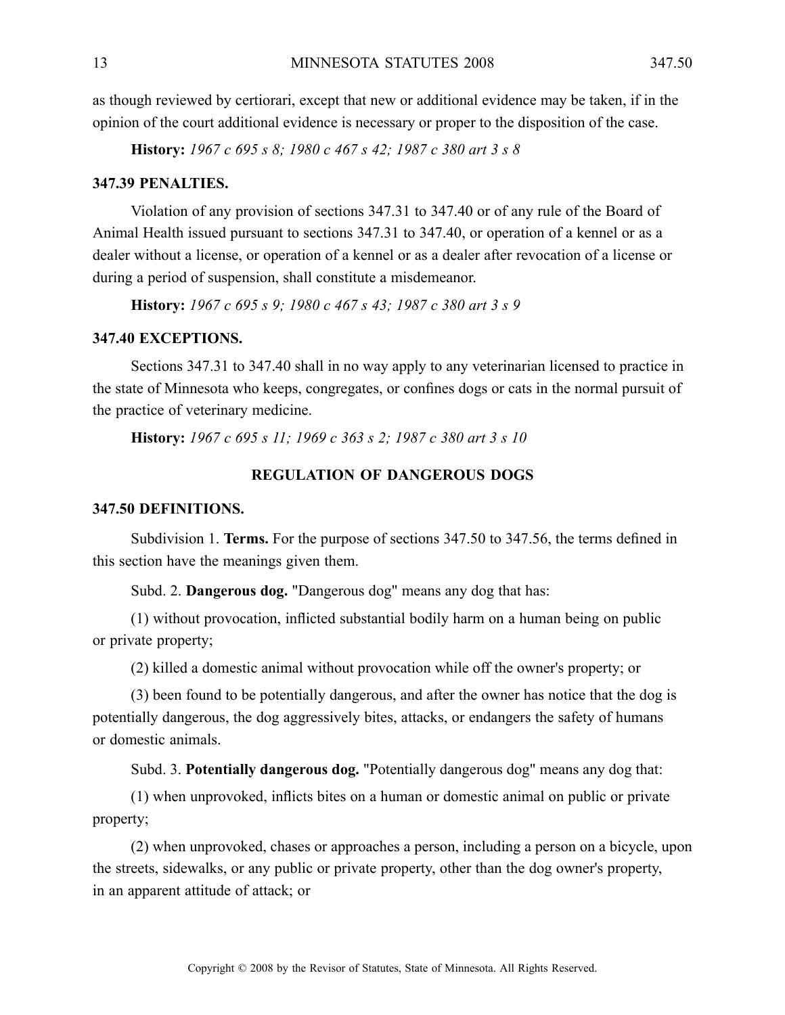as though reviewed by certiorari, excep<sup>t</sup> that new or additional evidence may be taken, if in the opinion of the court additional evidence is necessary or proper to the disposition of the case.

**History:** *1967 <sup>c</sup> 695 <sup>s</sup> 8; 1980 <sup>c</sup> 467 <sup>s</sup> 42; 1987 <sup>c</sup> 380 art 3 <sup>s</sup> 8*

#### **347.39 PENALTIES.**

Violation of any provision of sections 347.31 to 347.40 or of any rule of the Board of Animal Health issued pursuan<sup>t</sup> to sections 347.31 to 347.40, or operation of <sup>a</sup> kennel or as <sup>a</sup> dealer without <sup>a</sup> license, or operation of <sup>a</sup> kennel or as <sup>a</sup> dealer after revocation of <sup>a</sup> license or during <sup>a</sup> period of suspension, shall constitute <sup>a</sup> misdemeanor.

**History:** *1967 <sup>c</sup> 695 <sup>s</sup> 9; 1980 <sup>c</sup> 467 <sup>s</sup> 43; 1987 <sup>c</sup> 380 art 3 <sup>s</sup> 9*

# **347.40 EXCEPTIONS.**

Sections 347.31 to 347.40 shall in no way apply to any veterinarian licensed to practice in the state of Minnesota who keeps, congregates, or confines dogs or cats in the normal pursuit of the practice of veterinary medicine.

**History:** *1967 <sup>c</sup> 695 <sup>s</sup> 11; 1969 <sup>c</sup> 363 <sup>s</sup> 2; 1987 <sup>c</sup> 380 art 3 <sup>s</sup> 10*

# **REGULATION OF DANGEROUS DOGS**

### **347.50 DEFINITIONS.**

Subdivision 1. **Terms.** For the purpose of sections 347.50 to 347.56, the terms defined in this section have the meanings given them.

Subd. 2. **Dangerous dog.** "Dangerous dog" means any dog that has:

(1) without provocation, inflicted substantial bodily harm on <sup>a</sup> human being on public or private property;

(2) killed <sup>a</sup> domestic animal without provocation while off the owner's property; or

(3) been found to be potentially dangerous, and after the owner has notice that the dog is potentially dangerous, the dog aggressively bites, attacks, or endangers the safety of humans or domestic animals.

Subd. 3. **Potentially dangerous dog.** "Potentially dangerous dog" means any dog that:

(1) when unprovoked, inflicts bites on <sup>a</sup> human or domestic animal on public or private property;

(2) when unprovoked, chases or approaches <sup>a</sup> person, including <sup>a</sup> person on <sup>a</sup> bicycle, upon the streets, sidewalks, or any public or private property, other than the dog owner's property, in an apparen<sup>t</sup> attitude of attack; or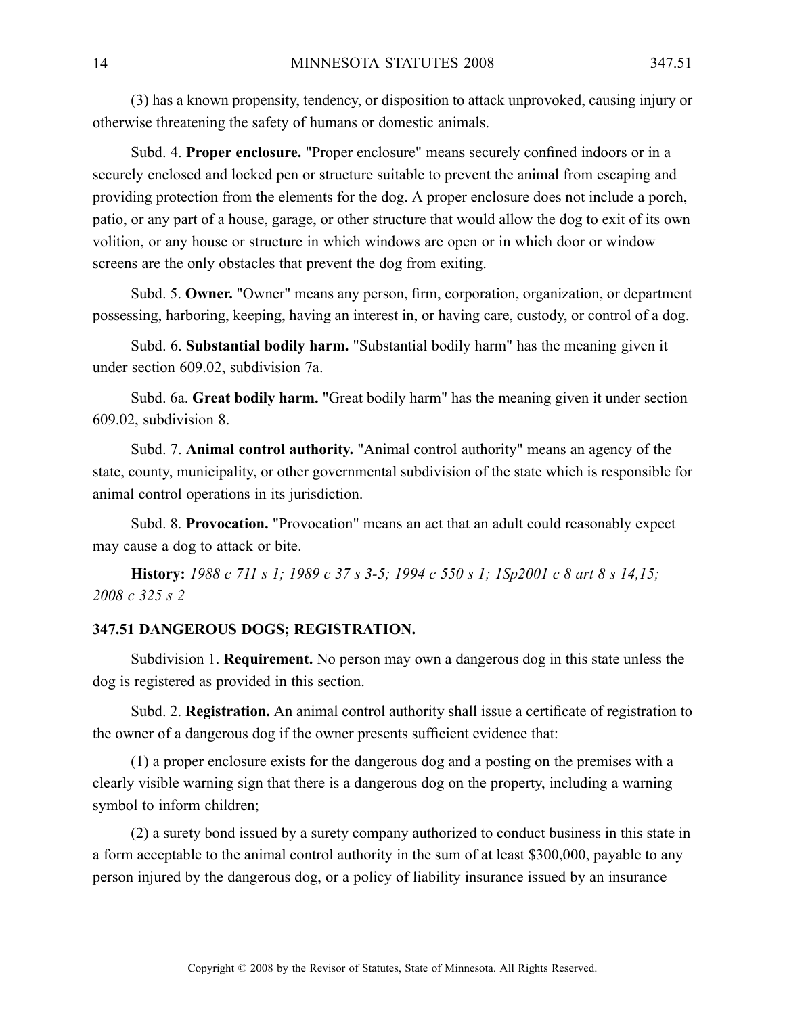(3) has <sup>a</sup> known propensity, tendency, or disposition to attack unprovoked, causing injury or otherwise threatening the safety of humans or domestic animals.

Subd. 4. **Proper enclosure.** "Proper enclosure" means securely confined indoors or in <sup>a</sup> securely enclosed and locked pen or structure suitable to preven<sup>t</sup> the animal from escaping and providing protection from the elements for the dog. A proper enclosure does not include <sup>a</sup> porch, patio, or any par<sup>t</sup> of <sup>a</sup> house, garage, or other structure that would allow the dog to exit of its own volition, or any house or structure in which windows are open or in which door or window screens are the only obstacles that preven<sup>t</sup> the dog from exiting.

Subd. 5. **Owner.** "Owner" means any person, firm, corporation, organization, or department possessing, harboring, keeping, having an interest in, or having care, custody, or control of <sup>a</sup> dog.

Subd. 6. **Substantial bodily harm.** "Substantial bodily harm" has the meaning given it under section 609.02, subdivision 7a.

Subd. 6a. **Great bodily harm.** "Great bodily harm" has the meaning given it under section 609.02, subdivision 8.

Subd. 7. **Animal control authority.** "Animal control authority" means an agency of the state, county, municipality, or other governmental subdivision of the state which is responsible for animal control operations in its jurisdiction.

Subd. 8. **Provocation.** "Provocation" means an act that an adult could reasonably expec<sup>t</sup> may cause <sup>a</sup> dog to attack or bite.

**History:** 1988 c 711 s 1; 1989 c 37 s 3-5; 1994 c 550 s 1; 1Sp2001 c 8 art 8 s 14,15; *2008 <sup>c</sup> 325 <sup>s</sup> 2*

#### **347.51 DANGEROUS DOGS; REGISTRATION.**

Subdivision 1. **Requirement.** No person may own <sup>a</sup> dangerous dog in this state unless the dog is registered as provided in this section.

Subd. 2. **Registration.** An animal control authority shall issue <sup>a</sup> certificate of registration to the owner of <sup>a</sup> dangerous dog if the owner presents sufficient evidence that:

(1) <sup>a</sup> proper enclosure exists for the dangerous dog and <sup>a</sup> posting on the premises with <sup>a</sup> clearly visible warning sign that there is <sup>a</sup> dangerous dog on the property, including <sup>a</sup> warning symbol to inform children;

(2) <sup>a</sup> surety bond issued by <sup>a</sup> surety company authorized to conduct business in this state in <sup>a</sup> form acceptable to the animal control authority in the sum of at least \$300,000, payable to any person injured by the dangerous dog, or <sup>a</sup> policy of liability insurance issued by an insurance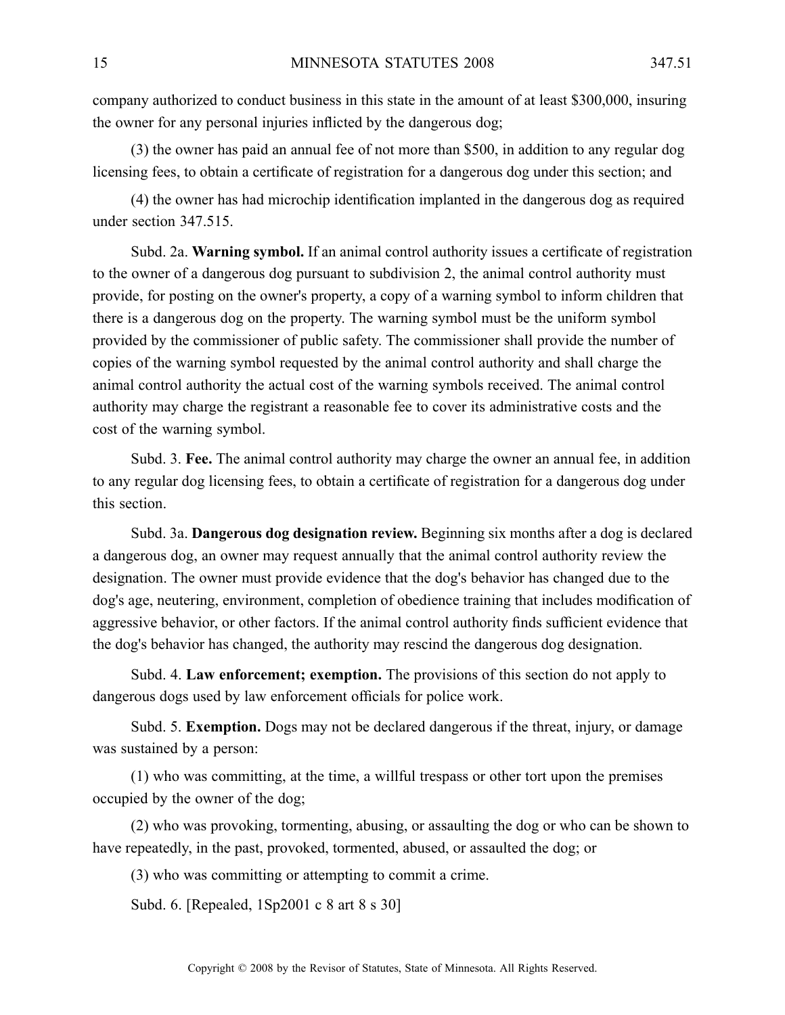company authorized to conduct business in this state in the amount of at least \$300,000, insuring the owner for any personal injuries inflicted by the dangerous dog;

(3) the owner has paid an annual fee of not more than \$500, in addition to any regular dog licensing fees, to obtain <sup>a</sup> certificate of registration for <sup>a</sup> dangerous dog under this section; and

(4) the owner has had microchip identification implanted in the dangerous dog as required under section 347.515.

Subd. 2a. **Warning symbol.** If an animal control authority issues <sup>a</sup> certificate of registration to the owner of <sup>a</sup> dangerous dog pursuan<sup>t</sup> to subdivision 2, the animal control authority must provide, for posting on the owner's property, <sup>a</sup> copy of <sup>a</sup> warning symbol to inform children that there is <sup>a</sup> dangerous dog on the property. The warning symbol must be the uniform symbol provided by the commissioner of public safety. The commissioner shall provide the number of copies of the warning symbol requested by the animal control authority and shall charge the animal control authority the actual cost of the warning symbols received. The animal control authority may charge the registrant <sup>a</sup> reasonable fee to cover its administrative costs and the cost of the warning symbol.

Subd. 3. **Fee.** The animal control authority may charge the owner an annual fee, in addition to any regular dog licensing fees, to obtain <sup>a</sup> certificate of registration for <sup>a</sup> dangerous dog under this section.

Subd. 3a. **Dangerous dog designation review.** Beginning six months after <sup>a</sup> dog is declared <sup>a</sup> dangerous dog, an owner may reques<sup>t</sup> annually that the animal control authority review the designation. The owner must provide evidence that the dog's behavior has changed due to the dog's age, neutering, environment, completion of obedience training that includes modification of aggressive behavior, or other factors. If the animal control authority finds sufficient evidence that the dog's behavior has changed, the authority may rescind the dangerous dog designation.

Subd. 4. **Law enforcement; exemption.** The provisions of this section do not apply to dangerous dogs used by law enforcement officials for police work.

Subd. 5. **Exemption.** Dogs may not be declared dangerous if the threat, injury, or damage was sustained by <sup>a</sup> person:

(1) who was committing, at the time, <sup>a</sup> willful trespass or other tort upon the premises occupied by the owner of the dog;

(2) who was provoking, tormenting, abusing, or assaulting the dog or who can be shown to have repeatedly, in the past, provoked, tormented, abused, or assaulted the dog; or

(3) who was committing or attempting to commit <sup>a</sup> crime.

Subd. 6. [Repealed, 1Sp2001 <sup>c</sup> 8 art 8 <sup>s</sup> 30]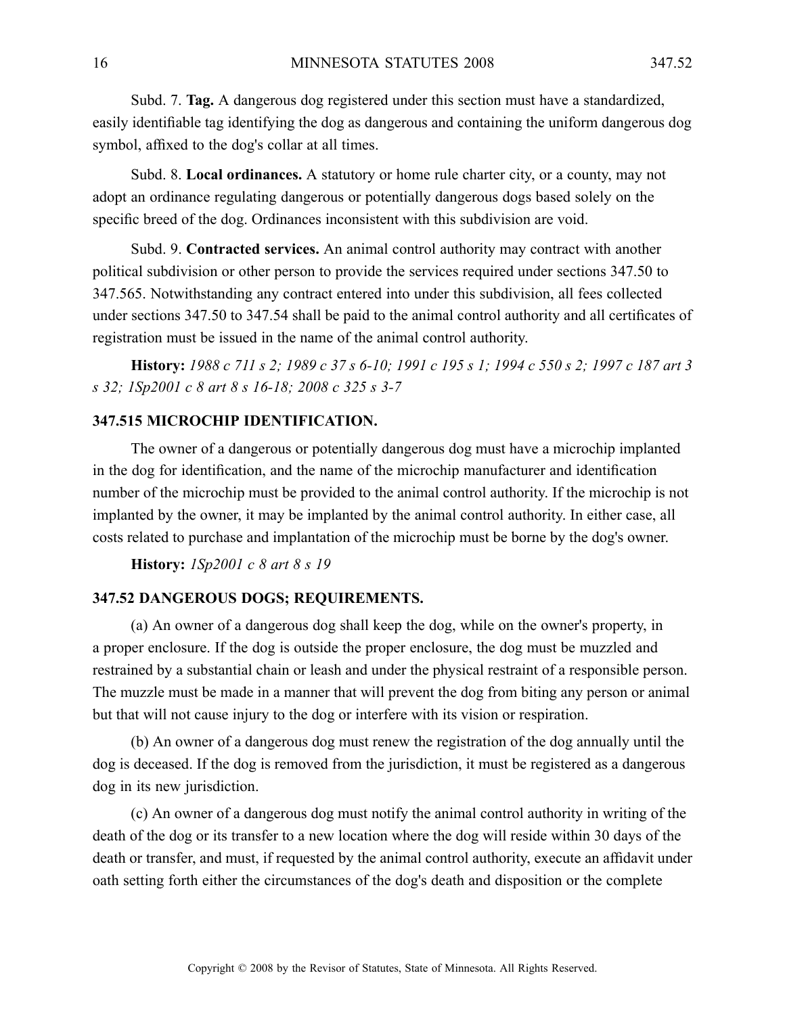Subd. 7. **Tag.** A dangerous dog registered under this section must have <sup>a</sup> standardized, easily identifiable tag identifying the dog as dangerous and containing the uniform dangerous dog symbol, affixed to the dog's collar at all times.

Subd. 8. **Local ordinances.** A statutory or home rule charter city, or a county, may not adopt an ordinance regulating dangerous or potentially dangerous dogs based solely on the specific breed of the dog. Ordinances inconsistent with this subdivision are void.

Subd. 9. **Contracted services.** An animal control authority may contract with another political subdivision or other person to provide the services required under sections 347.50 to 347.565. Notwithstanding any contract entered into under this subdivision, all fees collected under sections 347.50 to 347.54 shall be paid to the animal control authority and all certificates of registration must be issued in the name of the animal control authority.

History: 1988 c 711 s 2; 1989 c 37 s 6-10; 1991 c 195 s 1; 1994 c 550 s 2; 1997 c 187 art 3 *<sup>s</sup> 32; 1Sp2001 <sup>c</sup> 8 art 8 <sup>s</sup> 16-18; 2008 <sup>c</sup> 325 <sup>s</sup> 3-7*

# **347.515 MICROCHIP IDENTIFICATION.**

The owner of <sup>a</sup> dangerous or potentially dangerous dog must have <sup>a</sup> microchip implanted in the dog for identification, and the name of the microchip manufacturer and identification number of the microchip must be provided to the animal control authority. If the microchip is not implanted by the owner, it may be implanted by the animal control authority. In either case, all costs related to purchase and implantation of the microchip must be borne by the dog's owner.

**History:** *1Sp2001 <sup>c</sup> 8 art 8 <sup>s</sup> 19*

#### **347.52 DANGEROUS DOGS; REQUIREMENTS.**

(a) An owner of <sup>a</sup> dangerous dog shall keep the dog, while on the owner's property, in <sup>a</sup> proper enclosure. If the dog is outside the proper enclosure, the dog must be muzzled and restrained by <sup>a</sup> substantial chain or leash and under the physical restraint of <sup>a</sup> responsible person. The muzzle must be made in <sup>a</sup> manner that will preven<sup>t</sup> the dog from biting any person or animal but that will not cause injury to the dog or interfere with its vision or respiration.

(b) An owner of <sup>a</sup> dangerous dog must renew the registration of the dog annually until the dog is deceased. If the dog is removed from the jurisdiction, it must be registered as <sup>a</sup> dangerous dog in its new jurisdiction.

(c) An owner of <sup>a</sup> dangerous dog must notify the animal control authority in writing of the death of the dog or its transfer to <sup>a</sup> new location where the dog will reside within 30 days of the death or transfer, and must, if requested by the animal control authority, execute an affidavit under oath setting forth either the circumstances of the dog's death and disposition or the complete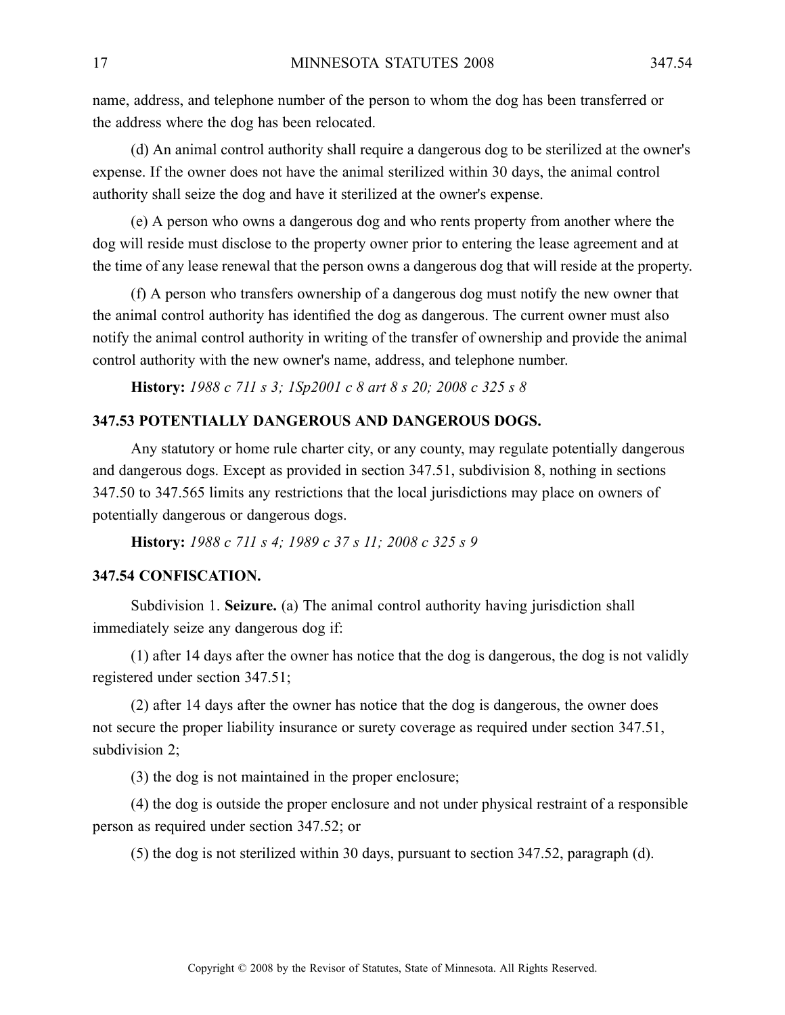name, address, and telephone number of the person to whom the dog has been transferred or the address where the dog has been relocated.

(d) An animal control authority shall require <sup>a</sup> dangerous dog to be sterilized at the owner's expense. If the owner does not have the animal sterilized within 30 days, the animal control authority shall seize the dog and have it sterilized at the owner's expense.

(e) A person who owns <sup>a</sup> dangerous dog and who rents property from another where the dog will reside must disclose to the property owner prior to entering the lease agreemen<sup>t</sup> and at the time of any lease renewal that the person owns <sup>a</sup> dangerous dog that will reside at the property.

(f) A person who transfers ownership of <sup>a</sup> dangerous dog must notify the new owner that the animal control authority has identified the dog as dangerous. The current owner must also notify the animal control authority in writing of the transfer of ownership and provide the animal control authority with the new owner's name, address, and telephone number.

**History:** *1988 <sup>c</sup> 711 <sup>s</sup> 3; 1Sp2001 <sup>c</sup> 8 art 8 <sup>s</sup> 20; 2008 <sup>c</sup> 325 <sup>s</sup> 8*

# **347.53 POTENTIALLY DANGEROUS AND DANGEROUS DOGS.**

Any statutory or home rule charter city, or any county, may regulate potentially dangerous and dangerous dogs. Except as provided in section 347.51, subdivision 8, nothing in sections 347.50 to 347.565 limits any restrictions that the local jurisdictions may place on owners of potentially dangerous or dangerous dogs.

**History:** *1988 <sup>c</sup> 711 <sup>s</sup> 4; 1989 <sup>c</sup> 37 <sup>s</sup> 11; 2008 <sup>c</sup> 325 <sup>s</sup> 9*

#### **347.54 CONFISCATION.**

Subdivision 1. **Seizure.** (a) The animal control authority having jurisdiction shall immediately seize any dangerous dog if:

(1) after 14 days after the owner has notice that the dog is dangerous, the dog is not validly registered under section 347.51;

(2) after 14 days after the owner has notice that the dog is dangerous, the owner does not secure the proper liability insurance or surety coverage as required under section 347.51, subdivision 2;

(3) the dog is not maintained in the proper enclosure;

(4) the dog is outside the proper enclosure and not under physical restraint of <sup>a</sup> responsible person as required under section 347.52; or

(5) the dog is not sterilized within 30 days, pursuan<sup>t</sup> to section 347.52, paragraph (d).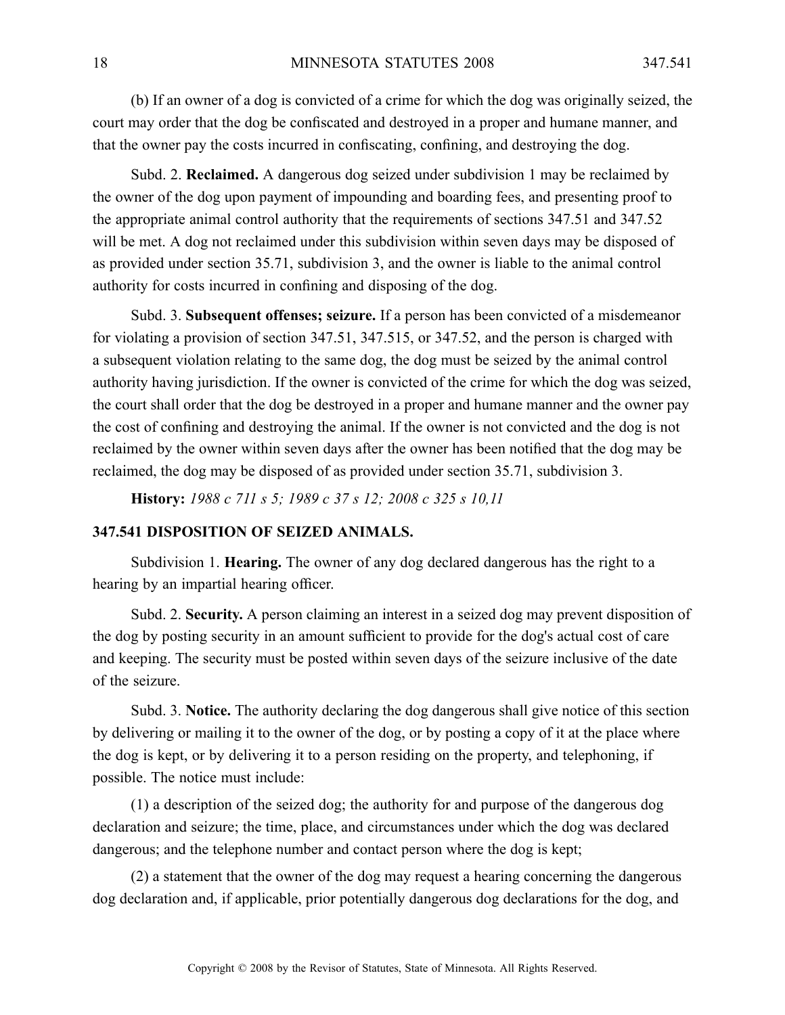(b) If an owner of <sup>a</sup> dog is convicted of <sup>a</sup> crime for which the dog was originally seized, the court may order that the dog be confiscated and destroyed in <sup>a</sup> proper and humane manner, and that the owner pay the costs incurred in confiscating, confining, and destroying the dog.

Subd. 2. **Reclaimed.** A dangerous dog seized under subdivision 1 may be reclaimed by the owner of the dog upon paymen<sup>t</sup> of impounding and boarding fees, and presenting proof to the appropriate animal control authority that the requirements of sections 347.51 and 347.52 will be met. A dog not reclaimed under this subdivision within seven days may be disposed of as provided under section 35.71, subdivision 3, and the owner is liable to the animal control authority for costs incurred in confining and disposing of the dog.

Subd. 3. **Subsequent offenses; seizure.** If <sup>a</sup> person has been convicted of <sup>a</sup> misdemeanor for violating <sup>a</sup> provision of section 347.51, 347.515, or 347.52, and the person is charged with <sup>a</sup> subsequent violation relating to the same dog, the dog must be seized by the animal control authority having jurisdiction. If the owner is convicted of the crime for which the dog was seized, the court shall order that the dog be destroyed in <sup>a</sup> proper and humane manner and the owner pay the cost of confining and destroying the animal. If the owner is not convicted and the dog is not reclaimed by the owner within seven days after the owner has been notified that the dog may be reclaimed, the dog may be disposed of as provided under section 35.71, subdivision 3.

**History:** *1988 <sup>c</sup> 711 <sup>s</sup> 5; 1989 <sup>c</sup> 37 <sup>s</sup> 12; 2008 <sup>c</sup> 325 <sup>s</sup> 10,11*

#### **347.541 DISPOSITION OF SEIZED ANIMALS.**

Subdivision 1. **Hearing.** The owner of any dog declared dangerous has the right to <sup>a</sup> hearing by an impartial hearing officer.

Subd. 2. **Security.** A person claiming an interest in a seized dog may prevent disposition of the dog by posting security in an amount sufficient to provide for the dog's actual cost of care and keeping. The security must be posted within seven days of the seizure inclusive of the date of the seizure.

Subd. 3. **Notice.** The authority declaring the dog dangerous shall give notice of this section by delivering or mailing it to the owner of the dog, or by posting <sup>a</sup> copy of it at the place where the dog is kept, or by delivering it to <sup>a</sup> person residing on the property, and telephoning, if possible. The notice must include:

(1) <sup>a</sup> description of the seized dog; the authority for and purpose of the dangerous dog declaration and seizure; the time, place, and circumstances under which the dog was declared dangerous; and the telephone number and contact person where the dog is kept;

(2) <sup>a</sup> statement that the owner of the dog may reques<sup>t</sup> <sup>a</sup> hearing concerning the dangerous dog declaration and, if applicable, prior potentially dangerous dog declarations for the dog, and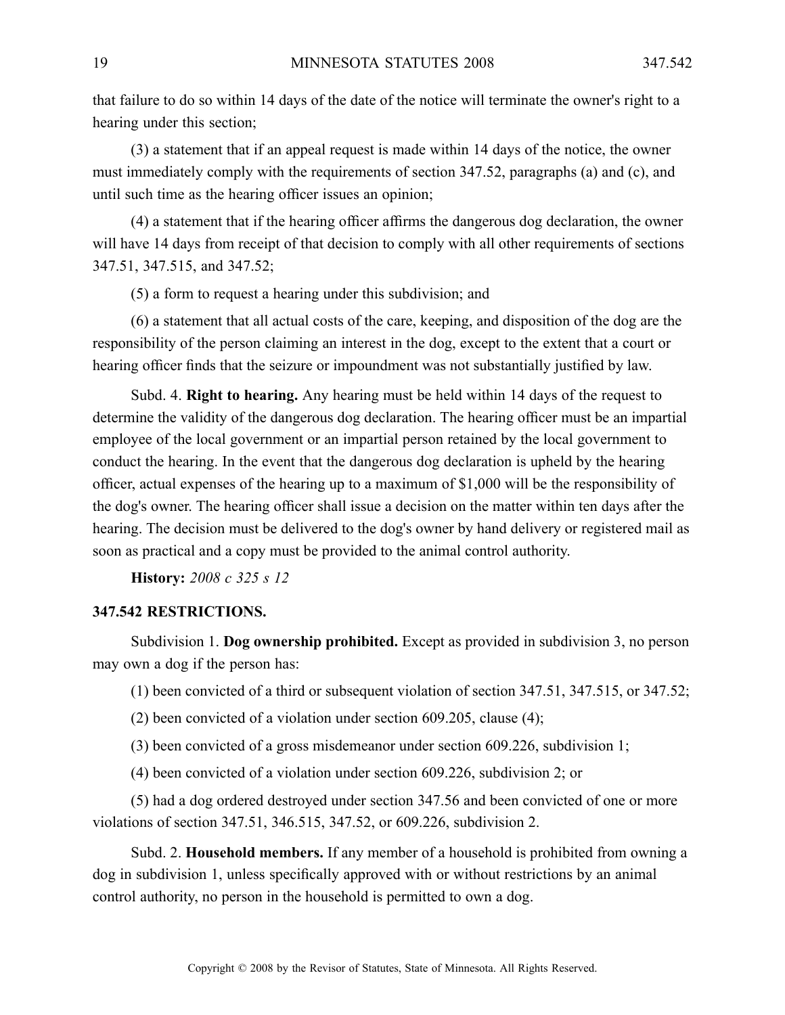that failure to do so within 14 days of the date of the notice will terminate the owner's right to <sup>a</sup> hearing under this section;

(3) <sup>a</sup> statement that if an appeal reques<sup>t</sup> is made within 14 days of the notice, the owner must immediately comply with the requirements of section 347.52, paragraphs (a) and (c), and until such time as the hearing officer issues an opinion;

(4) <sup>a</sup> statement that if the hearing officer affirms the dangerous dog declaration, the owner will have 14 days from receipt of that decision to comply with all other requirements of sections 347.51, 347.515, and 347.52;

(5) <sup>a</sup> form to reques<sup>t</sup> <sup>a</sup> hearing under this subdivision; and

(6) <sup>a</sup> statement that all actual costs of the care, keeping, and disposition of the dog are the responsibility of the person claiming an interest in the dog, excep<sup>t</sup> to the extent that <sup>a</sup> court or hearing officer finds that the seizure or impoundment was not substantially justified by law.

Subd. 4. **Right to hearing.** Any hearing must be held within 14 days of the reques<sup>t</sup> to determine the validity of the dangerous dog declaration. The hearing officer must be an impartial employee of the local governmen<sup>t</sup> or an impartial person retained by the local governmen<sup>t</sup> to conduct the hearing. In the event that the dangerous dog declaration is upheld by the hearing officer, actual expenses of the hearing up to <sup>a</sup> maximum of \$1,000 will be the responsibility of the dog's owner. The hearing officer shall issue <sup>a</sup> decision on the matter within ten days after the hearing. The decision must be delivered to the dog's owner by hand delivery or registered mail as soon as practical and <sup>a</sup> copy must be provided to the animal control authority.

**History:** *2008 <sup>c</sup> 325 <sup>s</sup> 12*

# **347.542 RESTRICTIONS.**

Subdivision 1. **Dog ownership prohibited.** Except as provided in subdivision 3, no person may own <sup>a</sup> dog if the person has:

(1) been convicted of <sup>a</sup> third or subsequent violation of section 347.51, 347.515, or 347.52;

- (2) been convicted of <sup>a</sup> violation under section 609.205, clause (4);
- (3) been convicted of <sup>a</sup> gross misdemeanor under section 609.226, subdivision 1;
- (4) been convicted of <sup>a</sup> violation under section 609.226, subdivision 2; or

(5) had <sup>a</sup> dog ordered destroyed under section 347.56 and been convicted of one or more violations of section 347.51, 346.515, 347.52, or 609.226, subdivision 2.

Subd. 2. **Household members.** If any member of <sup>a</sup> household is prohibited from owning <sup>a</sup> dog in subdivision 1, unless specifically approved with or without restrictions by an animal control authority, no person in the household is permitted to own <sup>a</sup> dog.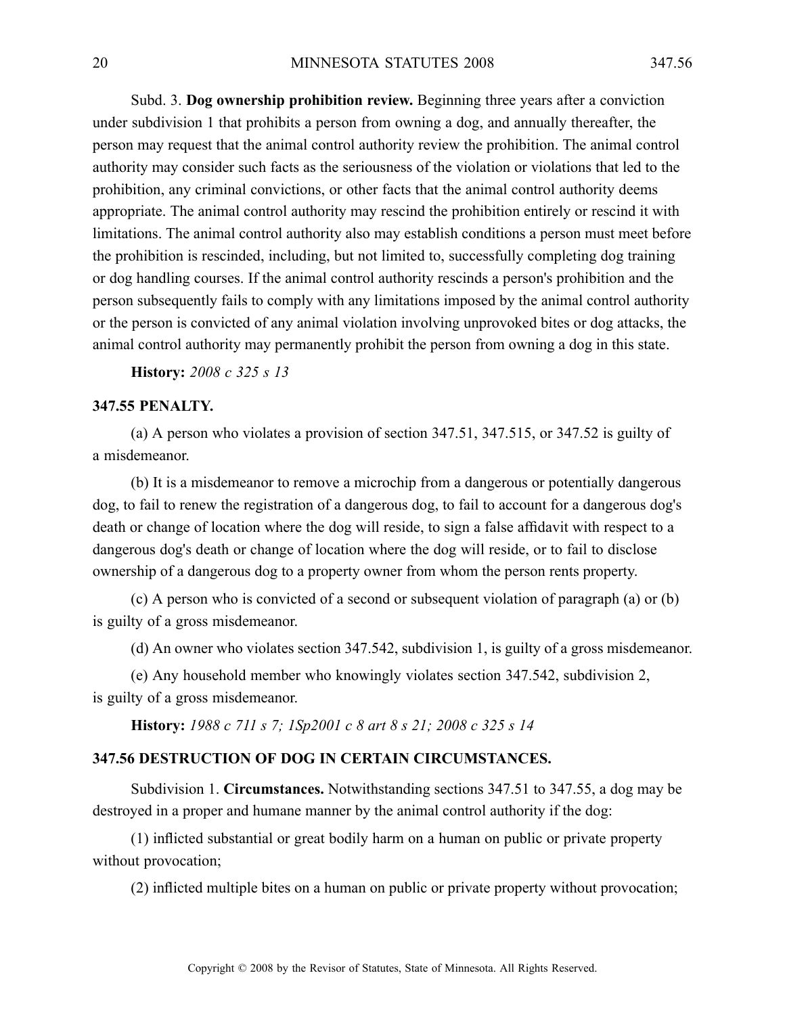Subd. 3. **Dog ownership prohibition review.** Beginning three years after <sup>a</sup> conviction under subdivision 1 that prohibits <sup>a</sup> person from owning <sup>a</sup> dog, and annually thereafter, the person may reques<sup>t</sup> that the animal control authority review the prohibition. The animal control authority may consider such facts as the seriousness of the violation or violations that led to the prohibition, any criminal convictions, or other facts that the animal control authority deems appropriate. The animal control authority may rescind the prohibition entirely or rescind it with limitations. The animal control authority also may establish conditions <sup>a</sup> person must meet before the prohibition is rescinded, including, but not limited to, successfully completing dog training or dog handling courses. If the animal control authority rescinds <sup>a</sup> person's prohibition and the person subsequently fails to comply with any limitations imposed by the animal control authority or the person is convicted of any animal violation involving unprovoked bites or dog attacks, the animal control authority may permanently prohibit the person from owning <sup>a</sup> dog in this state.

**History:** *2008 <sup>c</sup> 325 <sup>s</sup> 13*

### **347.55 PENALTY.**

(a) A person who violates <sup>a</sup> provision of section 347.51, 347.515, or 347.52 is guilty of <sup>a</sup> misdemeanor.

(b) It is <sup>a</sup> misdemeanor to remove <sup>a</sup> microchip from <sup>a</sup> dangerous or potentially dangerous dog, to fail to renew the registration of <sup>a</sup> dangerous dog, to fail to account for <sup>a</sup> dangerous dog's death or change of location where the dog will reside, to sign <sup>a</sup> false affidavit with respec<sup>t</sup> to <sup>a</sup> dangerous dog's death or change of location where the dog will reside, or to fail to disclose ownership of <sup>a</sup> dangerous dog to <sup>a</sup> property owner from whom the person rents property.

(c) A person who is convicted of <sup>a</sup> second or subsequent violation of paragraph (a) or (b) is guilty of <sup>a</sup> gross misdemeanor.

(d) An owner who violates section 347.542, subdivision 1, is guilty of <sup>a</sup> gross misdemeanor.

(e) Any household member who knowingly violates section 347.542, subdivision 2, is guilty of <sup>a</sup> gross misdemeanor.

**History:** *1988 <sup>c</sup> 711 <sup>s</sup> 7; 1Sp2001 <sup>c</sup> 8 art 8 <sup>s</sup> 21; 2008 <sup>c</sup> 325 <sup>s</sup> 14*

# **347.56 DESTRUCTION OF DOG IN CERTAIN CIRCUMSTANCES.**

Subdivision 1. **Circumstances.** Notwithstanding sections 347.51 to 347.55, <sup>a</sup> dog may be destroyed in <sup>a</sup> proper and humane manner by the animal control authority if the dog:

(1) inflicted substantial or grea<sup>t</sup> bodily harm on <sup>a</sup> human on public or private property without provocation;

(2) inflicted multiple bites on <sup>a</sup> human on public or private property without provocation;